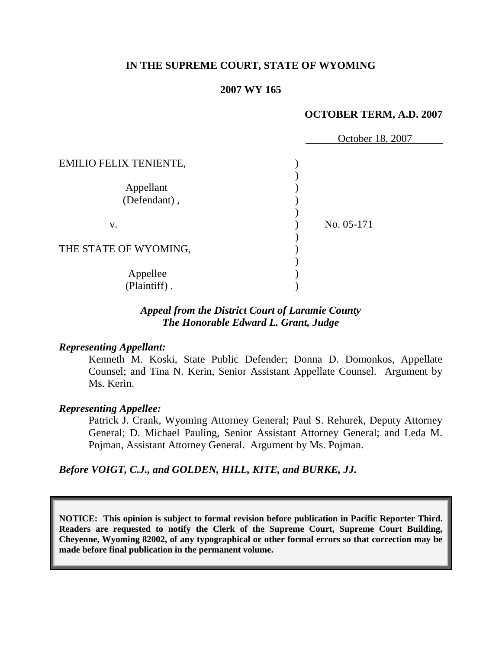#### **IN THE SUPREME COURT, STATE OF WYOMING**

#### **2007 WY 165**

### **OCTOBER TERM, A.D. 2007**

|                               | October 18, 2007 |
|-------------------------------|------------------|
| <b>EMILIO FELIX TENIENTE,</b> |                  |
|                               |                  |
| Appellant<br>(Defendant),     |                  |
|                               | No. 05-171       |
| v.                            |                  |
| THE STATE OF WYOMING,         |                  |
| Appellee                      |                  |
| (Plaintiff).                  |                  |

## *Appeal from the District Court of Laramie County The Honorable Edward L. Grant, Judge*

#### *Representing Appellant:*

Kenneth M. Koski, State Public Defender; Donna D. Domonkos, Appellate Counsel; and Tina N. Kerin, Senior Assistant Appellate Counsel. Argument by Ms. Kerin.

#### *Representing Appellee:*

Patrick J. Crank, Wyoming Attorney General; Paul S. Rehurek, Deputy Attorney General; D. Michael Pauling, Senior Assistant Attorney General; and Leda M. Pojman, Assistant Attorney General. Argument by Ms. Pojman.

*Before VOIGT, C.J., and GOLDEN, HILL, KITE, and BURKE, JJ.*

**NOTICE: This opinion is subject to formal revision before publication in Pacific Reporter Third. Readers are requested to notify the Clerk of the Supreme Court, Supreme Court Building, Cheyenne, Wyoming 82002, of any typographical or other formal errors so that correction may be made before final publication in the permanent volume.**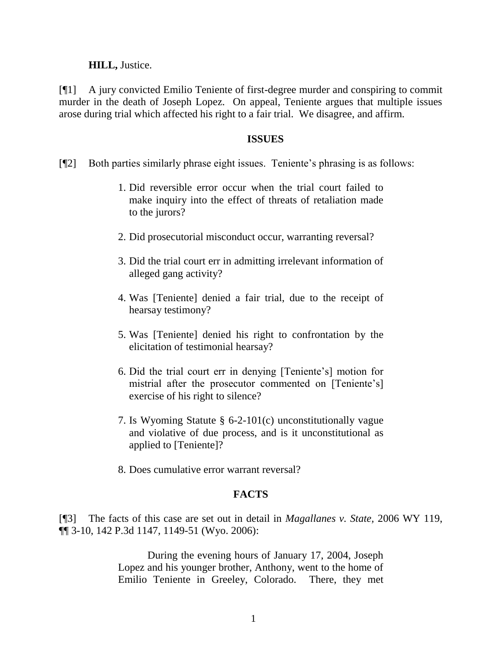#### **HILL,** Justice.

[¶1] A jury convicted Emilio Teniente of first-degree murder and conspiring to commit murder in the death of Joseph Lopez. On appeal, Teniente argues that multiple issues arose during trial which affected his right to a fair trial. We disagree, and affirm.

#### **ISSUES**

- [¶2] Both parties similarly phrase eight issues. Teniente"s phrasing is as follows:
	- 1. Did reversible error occur when the trial court failed to make inquiry into the effect of threats of retaliation made to the jurors?
	- 2. Did prosecutorial misconduct occur, warranting reversal?
	- 3. Did the trial court err in admitting irrelevant information of alleged gang activity?
	- 4. Was [Teniente] denied a fair trial, due to the receipt of hearsay testimony?
	- 5. Was [Teniente] denied his right to confrontation by the elicitation of testimonial hearsay?
	- 6. Did the trial court err in denying [Teniente"s] motion for mistrial after the prosecutor commented on [Teniente's] exercise of his right to silence?
	- 7. Is Wyoming Statute § 6-2-101(c) unconstitutionally vague and violative of due process, and is it unconstitutional as applied to [Teniente]?
	- 8. Does cumulative error warrant reversal?

### **FACTS**

[¶3] The facts of this case are set out in detail in *Magallanes v. State,* 2006 WY 119, ¶¶ 3-10, 142 P.3d 1147, 1149-51 (Wyo. 2006):

> During the evening hours of January 17, 2004, Joseph Lopez and his younger brother, Anthony, went to the home of Emilio Teniente in Greeley, Colorado. There, they met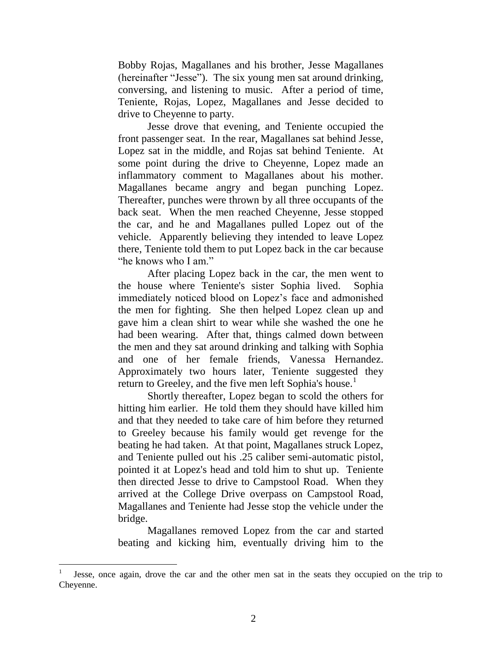Bobby Rojas, Magallanes and his brother, Jesse Magallanes (hereinafter "Jesse"). The six young men sat around drinking, conversing, and listening to music. After a period of time, Teniente, Rojas, Lopez, Magallanes and Jesse decided to drive to Cheyenne to party.

Jesse drove that evening, and Teniente occupied the front passenger seat. In the rear, Magallanes sat behind Jesse, Lopez sat in the middle, and Rojas sat behind Teniente. At some point during the drive to Cheyenne, Lopez made an inflammatory comment to Magallanes about his mother. Magallanes became angry and began punching Lopez. Thereafter, punches were thrown by all three occupants of the back seat. When the men reached Cheyenne, Jesse stopped the car, and he and Magallanes pulled Lopez out of the vehicle. Apparently believing they intended to leave Lopez there, Teniente told them to put Lopez back in the car because "he knows who I am."

After placing Lopez back in the car, the men went to the house where Teniente's sister Sophia lived. Sophia immediately noticed blood on Lopez"s face and admonished the men for fighting. She then helped Lopez clean up and gave him a clean shirt to wear while she washed the one he had been wearing. After that, things calmed down between the men and they sat around drinking and talking with Sophia and one of her female friends, Vanessa Hernandez. Approximately two hours later, Teniente suggested they return to Greeley, and the five men left Sophia's house.<sup>1</sup>

Shortly thereafter, Lopez began to scold the others for hitting him earlier. He told them they should have killed him and that they needed to take care of him before they returned to Greeley because his family would get revenge for the beating he had taken. At that point, Magallanes struck Lopez, and Teniente pulled out his .25 caliber semi-automatic pistol, pointed it at Lopez's head and told him to shut up. Teniente then directed Jesse to drive to Campstool Road. When they arrived at the College Drive overpass on Campstool Road, Magallanes and Teniente had Jesse stop the vehicle under the bridge.

Magallanes removed Lopez from the car and started beating and kicking him, eventually driving him to the

l

<sup>1</sup> Jesse, once again, drove the car and the other men sat in the seats they occupied on the trip to Cheyenne.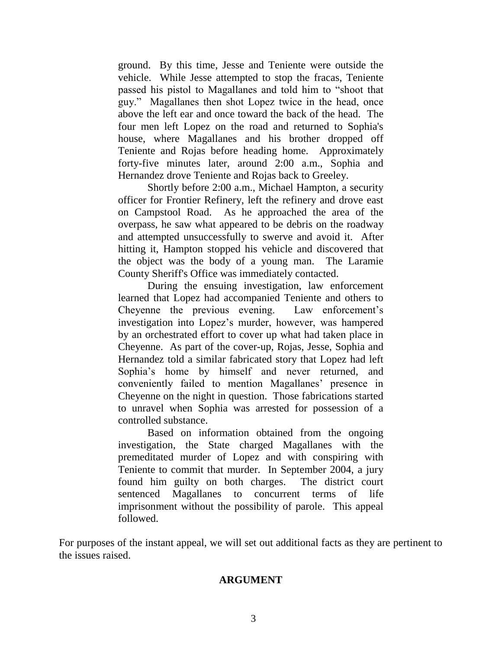ground. By this time, Jesse and Teniente were outside the vehicle. While Jesse attempted to stop the fracas, Teniente passed his pistol to Magallanes and told him to "shoot that guy." Magallanes then shot Lopez twice in the head, once above the left ear and once toward the back of the head. The four men left Lopez on the road and returned to Sophia's house, where Magallanes and his brother dropped off Teniente and Rojas before heading home. Approximately forty-five minutes later, around 2:00 a.m., Sophia and Hernandez drove Teniente and Rojas back to Greeley.

Shortly before 2:00 a.m., Michael Hampton, a security officer for Frontier Refinery, left the refinery and drove east on Campstool Road. As he approached the area of the overpass, he saw what appeared to be debris on the roadway and attempted unsuccessfully to swerve and avoid it. After hitting it, Hampton stopped his vehicle and discovered that the object was the body of a young man. The Laramie County Sheriff's Office was immediately contacted.

During the ensuing investigation, law enforcement learned that Lopez had accompanied Teniente and others to Cheyenne the previous evening. Law enforcement's investigation into Lopez"s murder, however, was hampered by an orchestrated effort to cover up what had taken place in Cheyenne. As part of the cover-up, Rojas, Jesse, Sophia and Hernandez told a similar fabricated story that Lopez had left Sophia's home by himself and never returned, and conveniently failed to mention Magallanes' presence in Cheyenne on the night in question. Those fabrications started to unravel when Sophia was arrested for possession of a controlled substance.

Based on information obtained from the ongoing investigation, the State charged Magallanes with the premeditated murder of Lopez and with conspiring with Teniente to commit that murder. In September 2004, a jury found him guilty on both charges. The district court sentenced Magallanes to concurrent terms of life imprisonment without the possibility of parole. This appeal followed.

For purposes of the instant appeal, we will set out additional facts as they are pertinent to the issues raised.

### **ARGUMENT**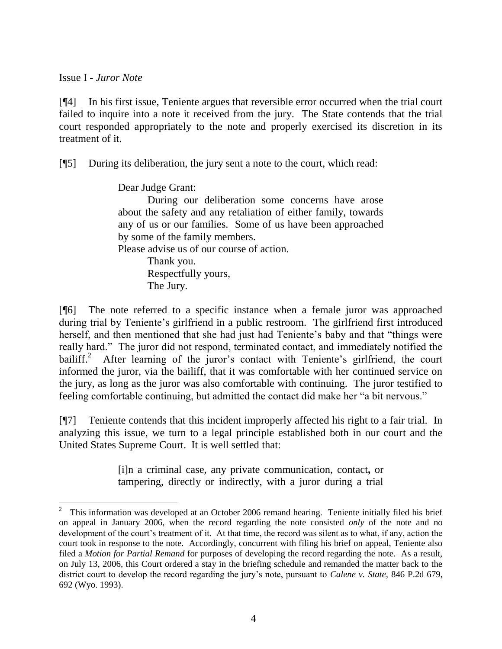Issue I - *Juror Note*

[¶4] In his first issue, Teniente argues that reversible error occurred when the trial court failed to inquire into a note it received from the jury. The State contends that the trial court responded appropriately to the note and properly exercised its discretion in its treatment of it.

[¶5] During its deliberation, the jury sent a note to the court, which read:

Dear Judge Grant:

During our deliberation some concerns have arose about the safety and any retaliation of either family, towards any of us or our families. Some of us have been approached by some of the family members.

Please advise us of our course of action.

Thank you. Respectfully yours, The Jury.

[¶6] The note referred to a specific instance when a female juror was approached during trial by Teniente's girlfriend in a public restroom. The girlfriend first introduced herself, and then mentioned that she had just had Teniente's baby and that "things were really hard." The juror did not respond, terminated contact, and immediately notified the bailiff.<sup>2</sup> After learning of the juror's contact with Teniente's girlfriend, the court informed the juror, via the bailiff, that it was comfortable with her continued service on the jury, as long as the juror was also comfortable with continuing. The juror testified to feeling comfortable continuing, but admitted the contact did make her "a bit nervous."

[¶7] Teniente contends that this incident improperly affected his right to a fair trial. In analyzing this issue, we turn to a legal principle established both in our court and the United States Supreme Court. It is well settled that:

> [i]n a criminal case, any private communication, contact**,** or tampering, directly or indirectly, with a juror during a trial

<sup>2</sup> This information was developed at an October 2006 remand hearing. Teniente initially filed his brief on appeal in January 2006, when the record regarding the note consisted *only* of the note and no development of the court"s treatment of it. At that time, the record was silent as to what, if any, action the court took in response to the note. Accordingly, concurrent with filing his brief on appeal, Teniente also filed a *Motion for Partial Remand* for purposes of developing the record regarding the note. As a result, on July 13, 2006, this Court ordered a stay in the briefing schedule and remanded the matter back to the district court to develop the record regarding the jury"s note, pursuant to *Calene v. State,* 846 P.2d 679, 692 (Wyo. 1993).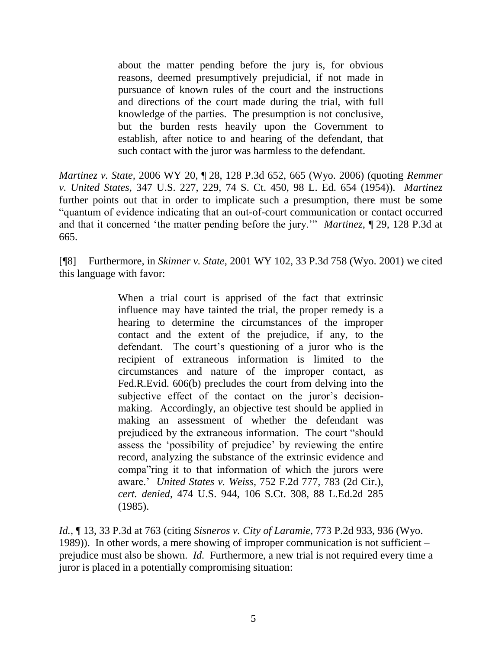about the matter pending before the jury is, for obvious reasons, deemed presumptively prejudicial, if not made in pursuance of known rules of the court and the instructions and directions of the court made during the trial, with full knowledge of the parties. The presumption is not conclusive, but the burden rests heavily upon the Government to establish, after notice to and hearing of the defendant, that such contact with the juror was harmless to the defendant.

*Martinez v. State,* 2006 WY 20, ¶ 28, 128 P.3d 652, 665 (Wyo. 2006) (quoting *Remmer v. United States*, 347 U.S. 227, 229, 74 S. Ct. 450, 98 L. Ed. 654 (1954)). *Martinez*  further points out that in order to implicate such a presumption, there must be some "quantum of evidence indicating that an out-of-court communication or contact occurred and that it concerned "the matter pending before the jury."" *Martinez*, ¶ 29, 128 P.3d at 665.

[¶8] Furthermore, in *Skinner v. State*, 2001 WY 102, 33 P.3d 758 (Wyo. 2001) we cited this language with favor:

> When a trial court is apprised of the fact that extrinsic influence may have tainted the trial, the proper remedy is a hearing to determine the circumstances of the improper contact and the extent of the prejudice, if any, to the defendant. The court"s questioning of a juror who is the recipient of extraneous information is limited to the circumstances and nature of the improper contact, as Fed.R.Evid. 606(b) precludes the court from delving into the subjective effect of the contact on the juror's decisionmaking. Accordingly, an objective test should be applied in making an assessment of whether the defendant was prejudiced by the extraneous information. The court "should assess the "possibility of prejudice" by reviewing the entire record, analyzing the substance of the extrinsic evidence and compa"ring it to that information of which the jurors were aware." *United States v. Weiss*, 752 F.2d 777, 783 (2d Cir.), *cert. denied*, 474 U.S. 944, 106 S.Ct. 308, 88 L.Ed.2d 285 (1985).

*Id.*, ¶ 13, 33 P.3d at 763 (citing *Sisneros v. City of Laramie*, 773 P.2d 933, 936 (Wyo. 1989)). In other words, a mere showing of improper communication is not sufficient – prejudice must also be shown. *Id.* Furthermore, a new trial is not required every time a juror is placed in a potentially compromising situation: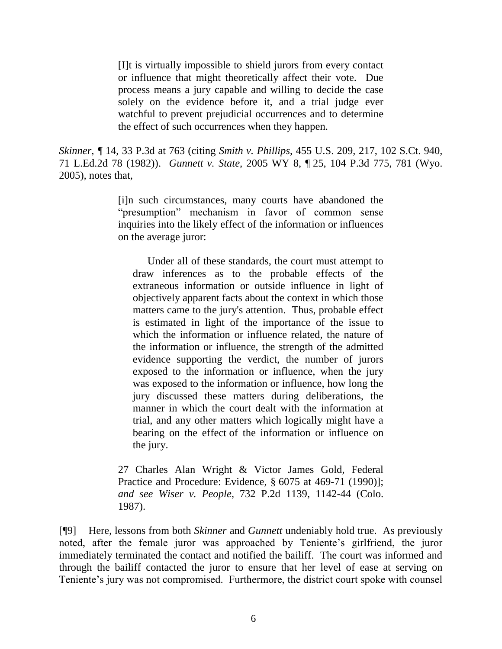[I]t is virtually impossible to shield jurors from every contact or influence that might theoretically affect their vote. Due process means a jury capable and willing to decide the case solely on the evidence before it, and a trial judge ever watchful to prevent prejudicial occurrences and to determine the effect of such occurrences when they happen.

*Skinner*, *¶* 14, 33 P.3d at 763 (citing *Smith v. Phillips*, 455 U.S. 209, 217, 102 S.Ct. 940, 71 L.Ed.2d 78 (1982)). *Gunnett v. State,* 2005 WY 8, ¶ 25, 104 P.3d 775, 781 (Wyo. 2005)*,* notes that,

> [i]n such circumstances, many courts have abandoned the "presumption" mechanism in favor of common sense inquiries into the likely effect of the information or influences on the average juror:

Under all of these standards, the court must attempt to draw inferences as to the probable effects of the extraneous information or outside influence in light of objectively apparent facts about the context in which those matters came to the jury's attention. Thus, probable effect is estimated in light of the importance of the issue to which the information or influence related, the nature of the information or influence, the strength of the admitted evidence supporting the verdict, the number of jurors exposed to the information or influence, when the jury was exposed to the information or influence, how long the jury discussed these matters during deliberations, the manner in which the court dealt with the information at trial, and any other matters which logically might have a bearing on the effect of the information or influence on the jury.

27 Charles Alan Wright & Victor James Gold, Federal Practice and Procedure: Evidence, § 6075 at 469-71 (1990)]; *and see Wiser v. People*, 732 P.2d 1139, 1142-44 (Colo. 1987).

[¶9] Here, lessons from both *Skinner* and *Gunnett* undeniably hold true. As previously noted, after the female juror was approached by Teniente"s girlfriend, the juror immediately terminated the contact and notified the bailiff. The court was informed and through the bailiff contacted the juror to ensure that her level of ease at serving on Teniente's jury was not compromised. Furthermore, the district court spoke with counsel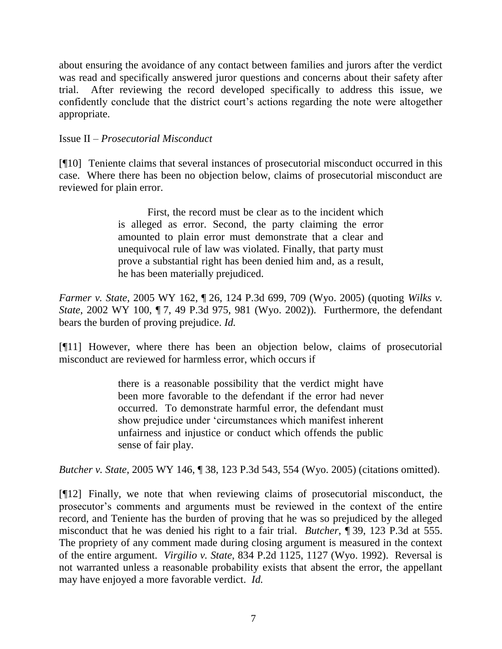about ensuring the avoidance of any contact between families and jurors after the verdict was read and specifically answered juror questions and concerns about their safety after trial. After reviewing the record developed specifically to address this issue, we confidently conclude that the district court's actions regarding the note were altogether appropriate.

## Issue II – *Prosecutorial Misconduct*

[¶10] Teniente claims that several instances of prosecutorial misconduct occurred in this case. Where there has been no objection below, claims of prosecutorial misconduct are reviewed for plain error.

> First, the record must be clear as to the incident which is alleged as error. Second, the party claiming the error amounted to plain error must demonstrate that a clear and unequivocal rule of law was violated. Finally, that party must prove a substantial right has been denied him and, as a result, he has been materially prejudiced.

*Farmer v. State*, 2005 WY 162, ¶ 26, 124 P.3d 699, 709 (Wyo. 2005) (quoting *Wilks v. State*, 2002 WY 100, ¶ 7, 49 P.3d 975, 981 (Wyo. 2002)). Furthermore, the defendant bears the burden of proving prejudice. *Id.*

[¶11] However, where there has been an objection below, claims of prosecutorial misconduct are reviewed for harmless error, which occurs if

> there is a reasonable possibility that the verdict might have been more favorable to the defendant if the error had never occurred. To demonstrate harmful error, the defendant must show prejudice under "circumstances which manifest inherent unfairness and injustice or conduct which offends the public sense of fair play.

*Butcher v. State*, 2005 WY 146, ¶ 38, 123 P.3d 543, 554 (Wyo. 2005) (citations omitted).

[¶12] Finally, we note that when reviewing claims of prosecutorial misconduct, the prosecutor"s comments and arguments must be reviewed in the context of the entire record, and Teniente has the burden of proving that he was so prejudiced by the alleged misconduct that he was denied his right to a fair trial. *Butcher*, ¶ 39, 123 P.3d at 555. The propriety of any comment made during closing argument is measured in the context of the entire argument. *Virgilio v. State*, 834 P.2d 1125, 1127 (Wyo. 1992). Reversal is not warranted unless a reasonable probability exists that absent the error, the appellant may have enjoyed a more favorable verdict. *Id.*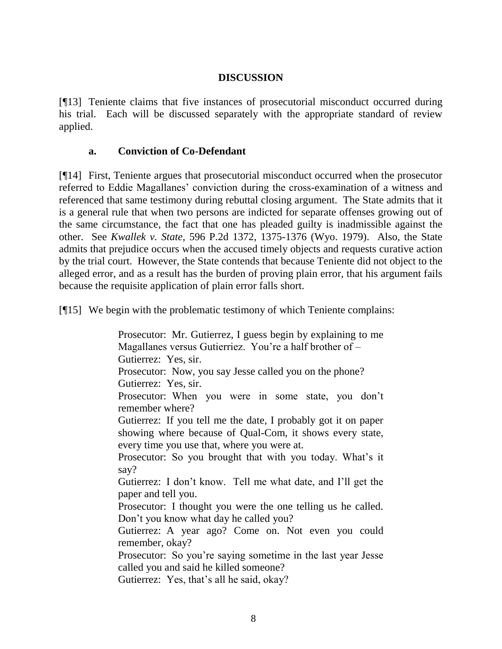## **DISCUSSION**

[¶13] Teniente claims that five instances of prosecutorial misconduct occurred during his trial. Each will be discussed separately with the appropriate standard of review applied.

### **a. Conviction of Co-Defendant**

[¶14] First, Teniente argues that prosecutorial misconduct occurred when the prosecutor referred to Eddie Magallanes' conviction during the cross-examination of a witness and referenced that same testimony during rebuttal closing argument. The State admits that it is a general rule that when two persons are indicted for separate offenses growing out of the same circumstance, the fact that one has pleaded guilty is inadmissible against the other. See *Kwallek v. State*, 596 P.2d 1372, 1375-1376 (Wyo. 1979). Also, the State admits that prejudice occurs when the accused timely objects and requests curative action by the trial court. However, the State contends that because Teniente did not object to the alleged error, and as a result has the burden of proving plain error, that his argument fails because the requisite application of plain error falls short.

[¶15] We begin with the problematic testimony of which Teniente complains:

Prosecutor: Mr. Gutierrez, I guess begin by explaining to me Magallanes versus Gutierriez. You're a half brother of -Gutierrez: Yes, sir. Prosecutor: Now, you say Jesse called you on the phone? Gutierrez: Yes, sir. Prosecutor: When you were in some state, you don"t remember where? Gutierrez: If you tell me the date, I probably got it on paper showing where because of Qual-Com, it shows every state, every time you use that, where you were at. Prosecutor: So you brought that with you today. What's it say? Gutierrez: I don"t know. Tell me what date, and I"ll get the paper and tell you. Prosecutor: I thought you were the one telling us he called. Don"t you know what day he called you? Gutierrez: A year ago? Come on. Not even you could remember, okay? Prosecutor: So you"re saying sometime in the last year Jesse called you and said he killed someone?

Gutierrez: Yes, that's all he said, okay?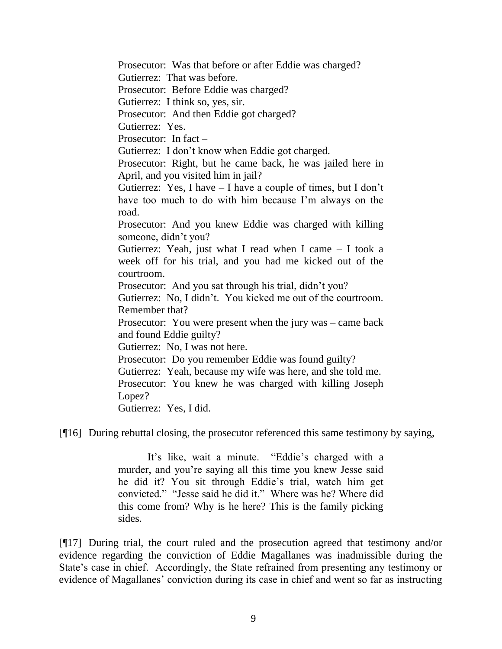Prosecutor: Was that before or after Eddie was charged? Gutierrez: That was before. Prosecutor: Before Eddie was charged? Gutierrez: I think so, yes, sir. Prosecutor: And then Eddie got charged? Gutierrez: Yes. Prosecutor: In fact – Gutierrez: I don"t know when Eddie got charged. Prosecutor: Right, but he came back, he was jailed here in April, and you visited him in jail? Gutierrez: Yes, I have  $-1$  have a couple of times, but I don't have too much to do with him because I'm always on the road. Prosecutor: And you knew Eddie was charged with killing someone, didn"t you? Gutierrez: Yeah, just what I read when I came – I took a week off for his trial, and you had me kicked out of the courtroom. Prosecutor: And you sat through his trial, didn't you? Gutierrez: No, I didn"t. You kicked me out of the courtroom. Remember that? Prosecutor: You were present when the jury was – came back and found Eddie guilty? Gutierrez: No, I was not here. Prosecutor: Do you remember Eddie was found guilty? Gutierrez: Yeah, because my wife was here, and she told me. Prosecutor: You knew he was charged with killing Joseph Lopez? Gutierrez: Yes, I did.

[¶16] During rebuttal closing, the prosecutor referenced this same testimony by saying,

It's like, wait a minute. "Eddie's charged with a murder, and you're saying all this time you knew Jesse said he did it? You sit through Eddie"s trial, watch him get convicted." "Jesse said he did it." Where was he? Where did this come from? Why is he here? This is the family picking sides.

[¶17] During trial, the court ruled and the prosecution agreed that testimony and/or evidence regarding the conviction of Eddie Magallanes was inadmissible during the State's case in chief. Accordingly, the State refrained from presenting any testimony or evidence of Magallanes' conviction during its case in chief and went so far as instructing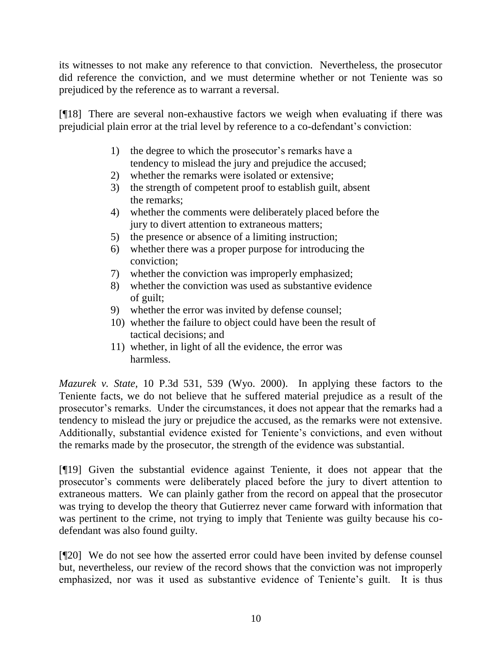its witnesses to not make any reference to that conviction. Nevertheless, the prosecutor did reference the conviction, and we must determine whether or not Teniente was so prejudiced by the reference as to warrant a reversal.

[¶18] There are several non-exhaustive factors we weigh when evaluating if there was prejudicial plain error at the trial level by reference to a co-defendant"s conviction:

- 1) the degree to which the prosecutor's remarks have a tendency to mislead the jury and prejudice the accused;
- 2) whether the remarks were isolated or extensive;
- 3) the strength of competent proof to establish guilt, absent the remarks;
- 4) whether the comments were deliberately placed before the jury to divert attention to extraneous matters;
- 5) the presence or absence of a limiting instruction;
- 6) whether there was a proper purpose for introducing the conviction;
- 7) whether the conviction was improperly emphasized;
- 8) whether the conviction was used as substantive evidence of guilt;
- 9) whether the error was invited by defense counsel;
- 10) whether the failure to object could have been the result of tactical decisions; and
- 11) whether, in light of all the evidence, the error was harmless.

*Mazurek v. State,* 10 P.3d 531, 539 (Wyo. 2000). In applying these factors to the Teniente facts, we do not believe that he suffered material prejudice as a result of the prosecutor"s remarks. Under the circumstances, it does not appear that the remarks had a tendency to mislead the jury or prejudice the accused, as the remarks were not extensive. Additionally, substantial evidence existed for Teniente"s convictions, and even without the remarks made by the prosecutor, the strength of the evidence was substantial.

[¶19] Given the substantial evidence against Teniente, it does not appear that the prosecutor"s comments were deliberately placed before the jury to divert attention to extraneous matters. We can plainly gather from the record on appeal that the prosecutor was trying to develop the theory that Gutierrez never came forward with information that was pertinent to the crime, not trying to imply that Teniente was guilty because his codefendant was also found guilty.

[¶20] We do not see how the asserted error could have been invited by defense counsel but, nevertheless, our review of the record shows that the conviction was not improperly emphasized, nor was it used as substantive evidence of Teniente's guilt. It is thus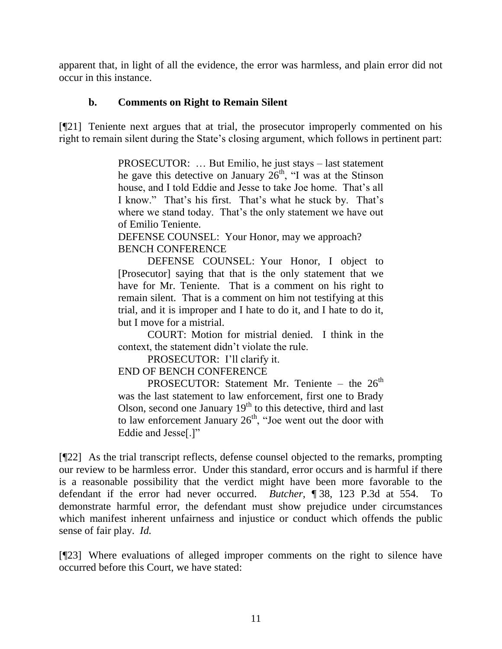apparent that, in light of all the evidence, the error was harmless, and plain error did not occur in this instance.

## **b. Comments on Right to Remain Silent**

[¶21] Teniente next argues that at trial, the prosecutor improperly commented on his right to remain silent during the State's closing argument, which follows in pertinent part:

> PROSECUTOR: … But Emilio, he just stays – last statement he gave this detective on January  $26<sup>th</sup>$ , "I was at the Stinson house, and I told Eddie and Jesse to take Joe home. That's all I know." That"s his first. That"s what he stuck by. That"s where we stand today. That's the only statement we have out of Emilio Teniente.

DEFENSE COUNSEL: Your Honor, may we approach? BENCH CONFERENCE

DEFENSE COUNSEL: Your Honor, I object to [Prosecutor] saying that that is the only statement that we have for Mr. Teniente. That is a comment on his right to remain silent. That is a comment on him not testifying at this trial, and it is improper and I hate to do it, and I hate to do it, but I move for a mistrial.

COURT: Motion for mistrial denied. I think in the context, the statement didn"t violate the rule.

PROSECUTOR: I'll clarify it.

END OF BENCH CONFERENCE

PROSECUTOR: Statement Mr. Teniente – the  $26<sup>th</sup>$ was the last statement to law enforcement, first one to Brady Olson, second one January  $19<sup>th</sup>$  to this detective, third and last to law enforcement January  $26<sup>th</sup>$ , "Joe went out the door with Eddie and Jesse[.]"

[¶22] As the trial transcript reflects, defense counsel objected to the remarks, prompting our review to be harmless error. Under this standard, error occurs and is harmful if there is a reasonable possibility that the verdict might have been more favorable to the defendant if the error had never occurred. *Butcher*, ¶ 38, 123 P.3d at 554. To demonstrate harmful error, the defendant must show prejudice under circumstances which manifest inherent unfairness and injustice or conduct which offends the public sense of fair play. *Id.*

[¶23] Where evaluations of alleged improper comments on the right to silence have occurred before this Court, we have stated: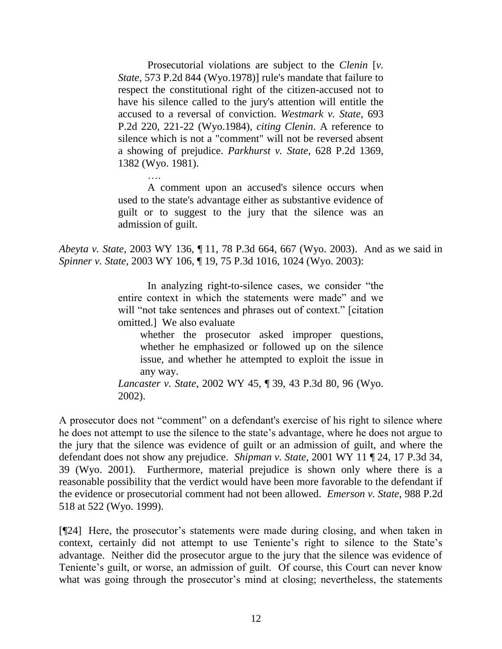Prosecutorial violations are subject to the *Clenin* [*v. State*, 573 P.2d 844 (Wyo.1978)] rule's mandate that failure to respect the constitutional right of the citizen-accused not to have his silence called to the jury's attention will entitle the accused to a reversal of conviction. *Westmark v. State*, 693 P.2d 220, 221-22 (Wyo.1984), *citing Clenin*. A reference to silence which is not a "comment" will not be reversed absent a showing of prejudice. *Parkhurst v. State*, 628 P.2d 1369, 1382 (Wyo. 1981).

A comment upon an accused's silence occurs when used to the state's advantage either as substantive evidence of guilt or to suggest to the jury that the silence was an admission of guilt.

*Abeyta v. State*, 2003 WY 136, ¶ 11, 78 P.3d 664, 667 (Wyo. 2003). And as we said in *Spinner v. State*, 2003 WY 106, ¶ 19, 75 P.3d 1016, 1024 (Wyo. 2003):

> In analyzing right-to-silence cases, we consider "the entire context in which the statements were made" and we will "not take sentences and phrases out of context." [citation omitted.] We also evaluate

whether the prosecutor asked improper questions, whether he emphasized or followed up on the silence issue, and whether he attempted to exploit the issue in any way.

*Lancaster v. State*, 2002 WY 45, ¶ 39, 43 P.3d 80, 96 (Wyo. 2002).

A prosecutor does not "comment" on a defendant's exercise of his right to silence where he does not attempt to use the silence to the state"s advantage, where he does not argue to the jury that the silence was evidence of guilt or an admission of guilt, and where the defendant does not show any prejudice. *Shipman v. State*, 2001 WY 11 ¶ 24, 17 P.3d 34, 39 (Wyo. 2001). Furthermore, material prejudice is shown only where there is a reasonable possibility that the verdict would have been more favorable to the defendant if the evidence or prosecutorial comment had not been allowed. *Emerson v. State*, 988 P.2d 518 at 522 (Wyo. 1999).

[¶24] Here, the prosecutor"s statements were made during closing, and when taken in context, certainly did not attempt to use Teniente's right to silence to the State's advantage. Neither did the prosecutor argue to the jury that the silence was evidence of Teniente's guilt, or worse, an admission of guilt. Of course, this Court can never know what was going through the prosecutor's mind at closing; nevertheless, the statements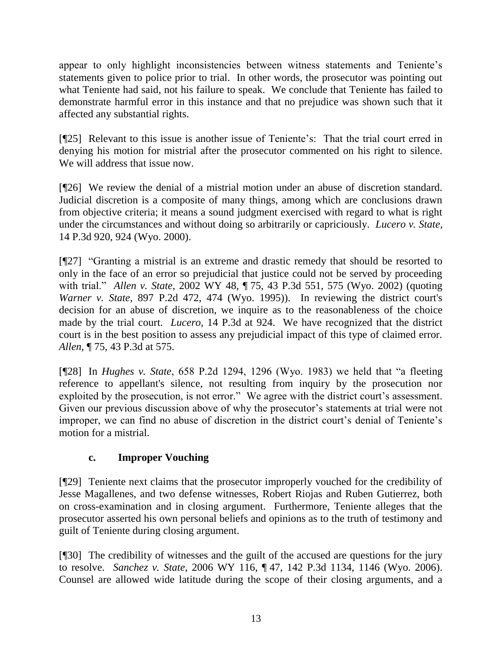appear to only highlight inconsistencies between witness statements and Teniente's statements given to police prior to trial. In other words, the prosecutor was pointing out what Teniente had said, not his failure to speak. We conclude that Teniente has failed to demonstrate harmful error in this instance and that no prejudice was shown such that it affected any substantial rights.

[¶25] Relevant to this issue is another issue of Teniente's: That the trial court erred in denying his motion for mistrial after the prosecutor commented on his right to silence. We will address that issue now.

[¶26] We review the denial of a mistrial motion under an abuse of discretion standard. Judicial discretion is a composite of many things, among which are conclusions drawn from objective criteria; it means a sound judgment exercised with regard to what is right under the circumstances and without doing so arbitrarily or capriciously. *Lucero v. State*, 14 P.3d 920, 924 (Wyo. 2000).

[¶27] "Granting a mistrial is an extreme and drastic remedy that should be resorted to only in the face of an error so prejudicial that justice could not be served by proceeding with trial." *Allen v. State*, 2002 WY 48, ¶ 75, 43 P.3d 551, 575 (Wyo. 2002) (quoting *Warner v. State*, 897 P.2d 472, 474 (Wyo. 1995)). In reviewing the district court's decision for an abuse of discretion, we inquire as to the reasonableness of the choice made by the trial court. *Lucero*, 14 P.3d at 924. We have recognized that the district court is in the best position to assess any prejudicial impact of this type of claimed error. *Allen*, ¶ 75, 43 P.3d at 575.

[¶28] In *Hughes v. State*, 658 P.2d 1294, 1296 (Wyo. 1983) we held that "a fleeting reference to appellant's silence, not resulting from inquiry by the prosecution nor exploited by the prosecution, is not error." We agree with the district court's assessment. Given our previous discussion above of why the prosecutor's statements at trial were not improper, we can find no abuse of discretion in the district court's denial of Teniente's motion for a mistrial.

# **c. Improper Vouching**

[¶29] Teniente next claims that the prosecutor improperly vouched for the credibility of Jesse Magallenes, and two defense witnesses, Robert Riojas and Ruben Gutierrez, both on cross-examination and in closing argument. Furthermore, Teniente alleges that the prosecutor asserted his own personal beliefs and opinions as to the truth of testimony and guilt of Teniente during closing argument.

[¶30] The credibility of witnesses and the guilt of the accused are questions for the jury to resolve. *Sanchez v. State*, 2006 WY 116, ¶ 47, 142 P.3d 1134, 1146 (Wyo. 2006). Counsel are allowed wide latitude during the scope of their closing arguments, and a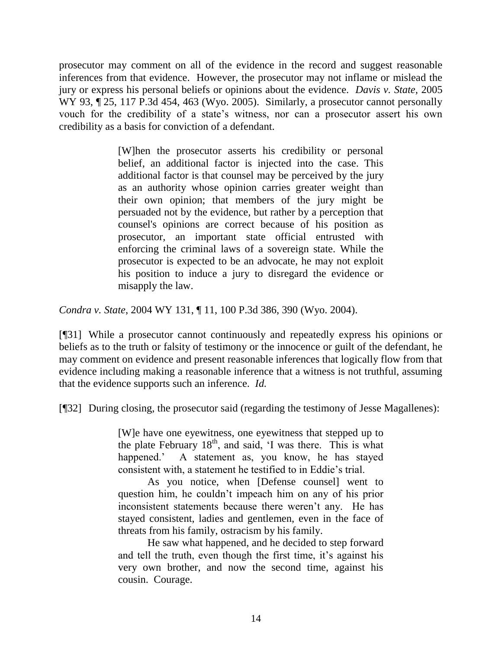prosecutor may comment on all of the evidence in the record and suggest reasonable inferences from that evidence. However, the prosecutor may not inflame or mislead the jury or express his personal beliefs or opinions about the evidence. *Davis v. State,* 2005 WY 93,  $\sim$  25, 117 P.3d 454, 463 (Wyo. 2005). Similarly, a prosecutor cannot personally vouch for the credibility of a state"s witness, nor can a prosecutor assert his own credibility as a basis for conviction of a defendant.

> [W]hen the prosecutor asserts his credibility or personal belief, an additional factor is injected into the case. This additional factor is that counsel may be perceived by the jury as an authority whose opinion carries greater weight than their own opinion; that members of the jury might be persuaded not by the evidence, but rather by a perception that counsel's opinions are correct because of his position as prosecutor, an important state official entrusted with enforcing the criminal laws of a sovereign state. While the prosecutor is expected to be an advocate, he may not exploit his position to induce a jury to disregard the evidence or misapply the law.

*Condra v. State*, 2004 WY 131, ¶ 11, 100 P.3d 386, 390 (Wyo. 2004).

[¶31] While a prosecutor cannot continuously and repeatedly express his opinions or beliefs as to the truth or falsity of testimony or the innocence or guilt of the defendant, he may comment on evidence and present reasonable inferences that logically flow from that evidence including making a reasonable inference that a witness is not truthful, assuming that the evidence supports such an inference. *Id.*

[¶32] During closing, the prosecutor said (regarding the testimony of Jesse Magallenes):

[W]e have one eyewitness, one eyewitness that stepped up to the plate February  $18<sup>th</sup>$ , and said, 'I was there. This is what happened." A statement as, you know, he has stayed consistent with, a statement he testified to in Eddie"s trial.

As you notice, when [Defense counsel] went to question him, he couldn"t impeach him on any of his prior inconsistent statements because there weren"t any. He has stayed consistent, ladies and gentlemen, even in the face of threats from his family, ostracism by his family.

He saw what happened, and he decided to step forward and tell the truth, even though the first time, it's against his very own brother, and now the second time, against his cousin. Courage.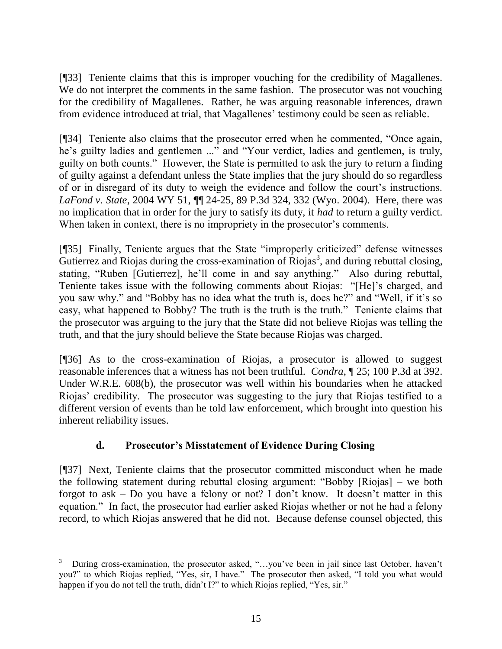[¶33] Teniente claims that this is improper vouching for the credibility of Magallenes. We do not interpret the comments in the same fashion. The prosecutor was not vouching for the credibility of Magallenes. Rather, he was arguing reasonable inferences, drawn from evidence introduced at trial, that Magallenes' testimony could be seen as reliable.

[¶34] Teniente also claims that the prosecutor erred when he commented, "Once again, he's guilty ladies and gentlemen ..." and "Your verdict, ladies and gentlemen, is truly, guilty on both counts." However, the State is permitted to ask the jury to return a finding of guilty against a defendant unless the State implies that the jury should do so regardless of or in disregard of its duty to weigh the evidence and follow the court"s instructions. *LaFond v. State*, 2004 WY 51, ¶¶ 24-25, 89 P.3d 324, 332 (Wyo. 2004). Here, there was no implication that in order for the jury to satisfy its duty, it *had* to return a guilty verdict. When taken in context, there is no impropriety in the prosecutor's comments.

[¶35] Finally, Teniente argues that the State "improperly criticized" defense witnesses Gutierrez and Riojas during the cross-examination of Riojas<sup>3</sup>, and during rebuttal closing, stating, "Ruben [Gutierrez], he"ll come in and say anything." Also during rebuttal, Teniente takes issue with the following comments about Riojas: "[He]"s charged, and you saw why." and "Bobby has no idea what the truth is, does he?" and "Well, if it's so easy, what happened to Bobby? The truth is the truth is the truth." Teniente claims that the prosecutor was arguing to the jury that the State did not believe Riojas was telling the truth, and that the jury should believe the State because Riojas was charged.

[¶36] As to the cross-examination of Riojas, a prosecutor is allowed to suggest reasonable inferences that a witness has not been truthful. *Condra*, ¶ 25; 100 P.3d at 392. Under W.R.E. 608(b), the prosecutor was well within his boundaries when he attacked Riojas" credibility. The prosecutor was suggesting to the jury that Riojas testified to a different version of events than he told law enforcement, which brought into question his inherent reliability issues.

# **d. Prosecutor's Misstatement of Evidence During Closing**

[¶37] Next, Teniente claims that the prosecutor committed misconduct when he made the following statement during rebuttal closing argument: "Bobby [Riojas] – we both forgot to ask  $-$  Do you have a felony or not? I don't know. It doesn't matter in this equation." In fact, the prosecutor had earlier asked Riojas whether or not he had a felony record, to which Riojas answered that he did not. Because defense counsel objected, this

 3 During cross-examination, the prosecutor asked, "...you've been in jail since last October, haven't you?" to which Riojas replied, "Yes, sir, I have." The prosecutor then asked, "I told you what would happen if you do not tell the truth, didn't I?" to which Riojas replied, "Yes, sir."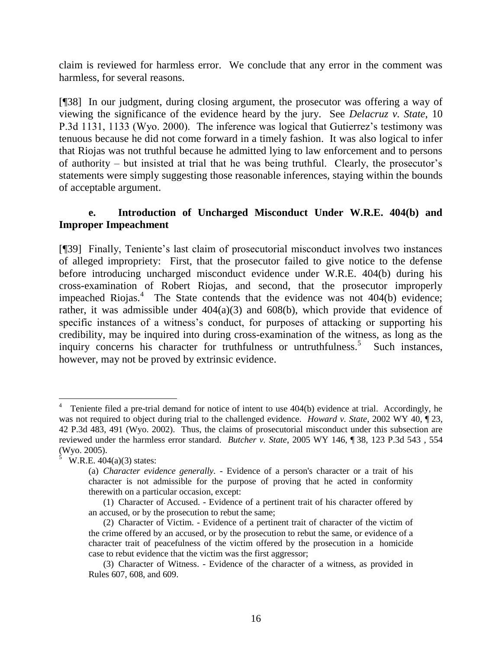claim is reviewed for harmless error. We conclude that any error in the comment was harmless, for several reasons.

[¶38] In our judgment, during closing argument, the prosecutor was offering a way of viewing the significance of the evidence heard by the jury. See *Delacruz v. State*, 10 P.3d 1131, 1133 (Wyo. 2000). The inference was logical that Gutierrez's testimony was tenuous because he did not come forward in a timely fashion. It was also logical to infer that Riojas was not truthful because he admitted lying to law enforcement and to persons of authority – but insisted at trial that he was being truthful. Clearly, the prosecutor's statements were simply suggesting those reasonable inferences, staying within the bounds of acceptable argument.

## **e. Introduction of Uncharged Misconduct Under W.R.E. 404(b) and Improper Impeachment**

[¶39] Finally, Teniente"s last claim of prosecutorial misconduct involves two instances of alleged impropriety: First, that the prosecutor failed to give notice to the defense before introducing uncharged misconduct evidence under W.R.E. 404(b) during his cross-examination of Robert Riojas, and second, that the prosecutor improperly impeached Riojas. $4$  The State contends that the evidence was not 404(b) evidence; rather, it was admissible under 404(a)(3) and 608(b), which provide that evidence of specific instances of a witness"s conduct, for purposes of attacking or supporting his credibility, may be inquired into during cross-examination of the witness, as long as the inquiry concerns his character for truthfulness or untruthfulness.<sup>5</sup> Such instances, however, may not be proved by extrinsic evidence.

 4 Teniente filed a pre-trial demand for notice of intent to use 404(b) evidence at trial. Accordingly, he was not required to object during trial to the challenged evidence. *Howard v. State*, 2002 WY 40, ¶ 23, 42 P.3d 483, 491 (Wyo. 2002). Thus, the claims of prosecutorial misconduct under this subsection are reviewed under the harmless error standard. *Butcher v. State*, 2005 WY 146, ¶ 38, 123 P.3d 543 , 554 (Wyo. 2005).

<sup>5</sup> W.R.E. 404(a)(3) states:

<sup>(</sup>a) *Character evidence generally. -* Evidence of a person's character or a trait of his character is not admissible for the purpose of proving that he acted in conformity therewith on a particular occasion, except:

<sup>(1)</sup> Character of Accused. - Evidence of a pertinent trait of his character offered by an accused, or by the prosecution to rebut the same;

<sup>(2)</sup> Character of Victim. - Evidence of a pertinent trait of character of the victim of the crime offered by an accused, or by the prosecution to rebut the same, or evidence of a character trait of peacefulness of the victim offered by the prosecution in a homicide case to rebut evidence that the victim was the first aggressor;

<sup>(3)</sup> Character of Witness. - Evidence of the character of a witness, as provided in Rules 607, 608, and 609.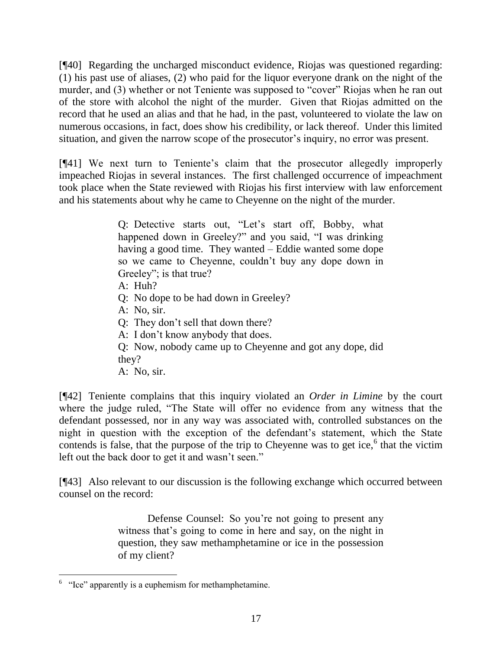[¶40] Regarding the uncharged misconduct evidence, Riojas was questioned regarding: (1) his past use of aliases, (2) who paid for the liquor everyone drank on the night of the murder, and (3) whether or not Teniente was supposed to "cover" Riojas when he ran out of the store with alcohol the night of the murder. Given that Riojas admitted on the record that he used an alias and that he had, in the past, volunteered to violate the law on numerous occasions, in fact, does show his credibility, or lack thereof. Under this limited situation, and given the narrow scope of the prosecutor's inquiry, no error was present.

[¶41] We next turn to Teniente"s claim that the prosecutor allegedly improperly impeached Riojas in several instances. The first challenged occurrence of impeachment took place when the State reviewed with Riojas his first interview with law enforcement and his statements about why he came to Cheyenne on the night of the murder.

> Q: Detective starts out, "Let's start off, Bobby, what happened down in Greeley?" and you said, "I was drinking having a good time. They wanted – Eddie wanted some dope so we came to Cheyenne, couldn"t buy any dope down in Greeley"; is that true?

- A: Huh?
- Q: No dope to be had down in Greeley?
- A: No, sir.
- Q: They don"t sell that down there?
- A: I don"t know anybody that does.
- Q: Now, nobody came up to Cheyenne and got any dope, did they?
- A: No, sir.

[¶42] Teniente complains that this inquiry violated an *Order in Limine* by the court where the judge ruled, "The State will offer no evidence from any witness that the defendant possessed, nor in any way was associated with, controlled substances on the night in question with the exception of the defendant's statement, which the State contends is false, that the purpose of the trip to Cheyenne was to get ice, $6$  that the victim left out the back door to get it and wasn't seen."

[¶43] Also relevant to our discussion is the following exchange which occurred between counsel on the record:

> Defense Counsel: So you"re not going to present any witness that's going to come in here and say, on the night in question, they saw methamphetamine or ice in the possession of my client?

 <sup>6</sup> "Ice" apparently is a euphemism for methamphetamine.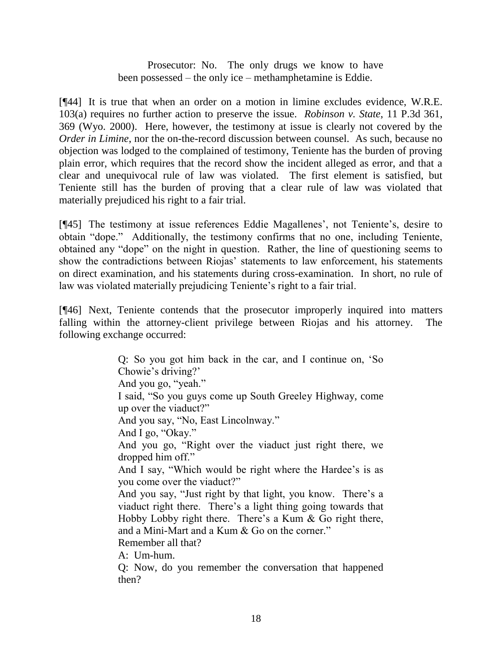Prosecutor: No. The only drugs we know to have been possessed – the only ice – methamphetamine is Eddie.

[¶44] It is true that when an order on a motion in limine excludes evidence, W.R.E. 103(a) requires no further action to preserve the issue. *Robinson v. State*, 11 P.3d 361, 369 (Wyo. 2000). Here, however, the testimony at issue is clearly not covered by the *Order in Limine*, nor the on-the-record discussion between counsel. As such, because no objection was lodged to the complained of testimony, Teniente has the burden of proving plain error, which requires that the record show the incident alleged as error, and that a clear and unequivocal rule of law was violated. The first element is satisfied, but Teniente still has the burden of proving that a clear rule of law was violated that materially prejudiced his right to a fair trial.

[¶45] The testimony at issue references Eddie Magallenes', not Teniente's, desire to obtain "dope." Additionally, the testimony confirms that no one, including Teniente, obtained any "dope" on the night in question. Rather, the line of questioning seems to show the contradictions between Riojas" statements to law enforcement, his statements on direct examination, and his statements during cross-examination. In short, no rule of law was violated materially prejudicing Teniente's right to a fair trial.

[¶46] Next, Teniente contends that the prosecutor improperly inquired into matters falling within the attorney-client privilege between Riojas and his attorney. The following exchange occurred:

> Q: So you got him back in the car, and I continue on, "So Chowie's driving?' And you go, "yeah." I said, "So you guys come up South Greeley Highway, come up over the viaduct?" And you say, "No, East Lincolnway." And I go, "Okay." And you go, "Right over the viaduct just right there, we dropped him off." And I say, "Which would be right where the Hardee's is as you come over the viaduct?" And you say, "Just right by that light, you know. There's a viaduct right there. There"s a light thing going towards that Hobby Lobby right there. There"s a Kum & Go right there, and a Mini-Mart and a Kum & Go on the corner." Remember all that? A: Um-hum. Q: Now, do you remember the conversation that happened then?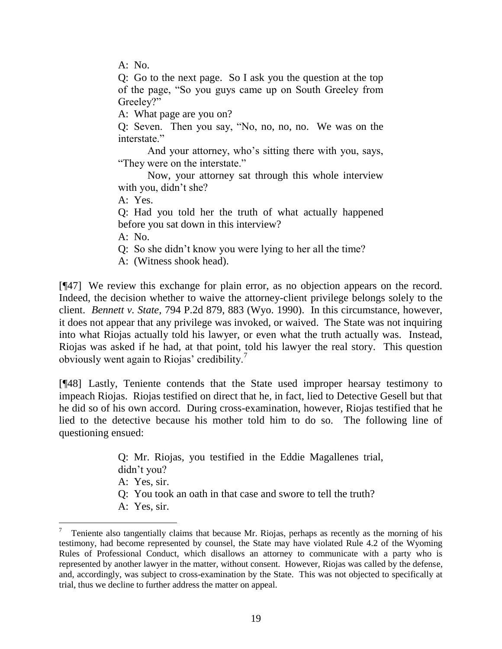A: No.

Q: Go to the next page. So I ask you the question at the top of the page, "So you guys came up on South Greeley from Greeley?"

A: What page are you on?

Q: Seven. Then you say, "No, no, no, no. We was on the interstate."

And your attorney, who's sitting there with you, says, "They were on the interstate."

Now, your attorney sat through this whole interview with you, didn't she?

A: Yes.

Q: Had you told her the truth of what actually happened before you sat down in this interview?

A: No.

 $\overline{a}$ 

Q: So she didn"t know you were lying to her all the time?

A: (Witness shook head).

[¶47] We review this exchange for plain error, as no objection appears on the record. Indeed, the decision whether to waive the attorney-client privilege belongs solely to the client. *Bennett v. State,* 794 P.2d 879, 883 (Wyo. 1990). In this circumstance, however, it does not appear that any privilege was invoked, or waived. The State was not inquiring into what Riojas actually told his lawyer, or even what the truth actually was. Instead, Riojas was asked if he had, at that point, told his lawyer the real story. This question obviously went again to Riojas' credibility.<sup>7</sup>

[¶48] Lastly, Teniente contends that the State used improper hearsay testimony to impeach Riojas. Riojas testified on direct that he, in fact, lied to Detective Gesell but that he did so of his own accord. During cross-examination, however, Riojas testified that he lied to the detective because his mother told him to do so. The following line of questioning ensued:

> Q: Mr. Riojas, you testified in the Eddie Magallenes trial, didn"t you? A: Yes, sir. Q: You took an oath in that case and swore to tell the truth? A: Yes, sir.

<sup>7</sup> Teniente also tangentially claims that because Mr. Riojas, perhaps as recently as the morning of his testimony, had become represented by counsel, the State may have violated Rule 4.2 of the Wyoming Rules of Professional Conduct, which disallows an attorney to communicate with a party who is represented by another lawyer in the matter, without consent. However, Riojas was called by the defense, and, accordingly, was subject to cross-examination by the State. This was not objected to specifically at trial, thus we decline to further address the matter on appeal.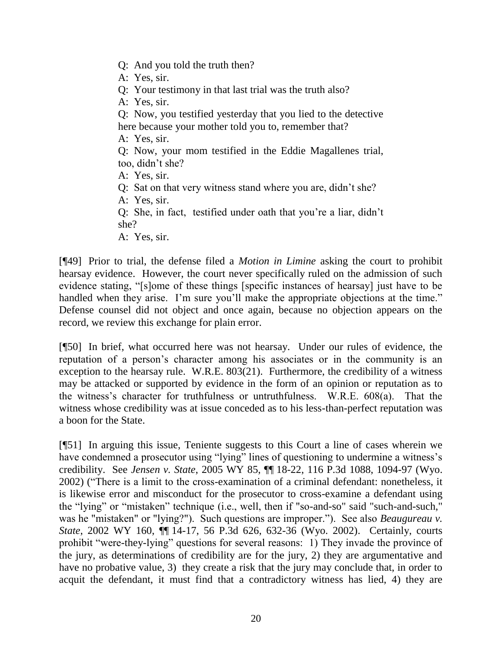- Q: And you told the truth then?
- A: Yes, sir.
- Q: Your testimony in that last trial was the truth also?
- A: Yes, sir.
- Q: Now, you testified yesterday that you lied to the detective here because your mother told you to, remember that?
- A: Yes, sir.
- Q: Now, your mom testified in the Eddie Magallenes trial, too, didn"t she?
- A: Yes, sir.
- Q: Sat on that very witness stand where you are, didn"t she?
- A: Yes, sir.
- Q: She, in fact, testified under oath that you"re a liar, didn"t she?
- A: Yes, sir.

[¶49] Prior to trial, the defense filed a *Motion in Limine* asking the court to prohibit hearsay evidence. However, the court never specifically ruled on the admission of such evidence stating, "[s]ome of these things [specific instances of hearsay] just have to be handled when they arise. I'm sure you'll make the appropriate objections at the time." Defense counsel did not object and once again, because no objection appears on the record, we review this exchange for plain error.

[¶50] In brief, what occurred here was not hearsay. Under our rules of evidence, the reputation of a person"s character among his associates or in the community is an exception to the hearsay rule. W.R.E. 803(21). Furthermore, the credibility of a witness may be attacked or supported by evidence in the form of an opinion or reputation as to the witness"s character for truthfulness or untruthfulness. W.R.E. 608(a). That the witness whose credibility was at issue conceded as to his less-than-perfect reputation was a boon for the State.

[¶51] In arguing this issue, Teniente suggests to this Court a line of cases wherein we have condemned a prosecutor using "lying" lines of questioning to undermine a witness's credibility. See *Jensen v. State*, 2005 WY 85, ¶¶ 18-22, 116 P.3d 1088, 1094-97 (Wyo. 2002) ("There is a limit to the cross-examination of a criminal defendant: nonetheless, it is likewise error and misconduct for the prosecutor to cross-examine a defendant using the "lying" or "mistaken" technique (i.e., well, then if "so-and-so" said "such-and-such," was he "mistaken" or "lying?"). Such questions are improper."). See also *Beaugureau v. State*, 2002 WY 160, ¶¶ 14-17, 56 P.3d 626, 632-36 (Wyo. 2002). Certainly, courts prohibit "were-they-lying" questions for several reasons: 1) They invade the province of the jury, as determinations of credibility are for the jury, 2) they are argumentative and have no probative value, 3) they create a risk that the jury may conclude that, in order to acquit the defendant, it must find that a contradictory witness has lied, 4) they are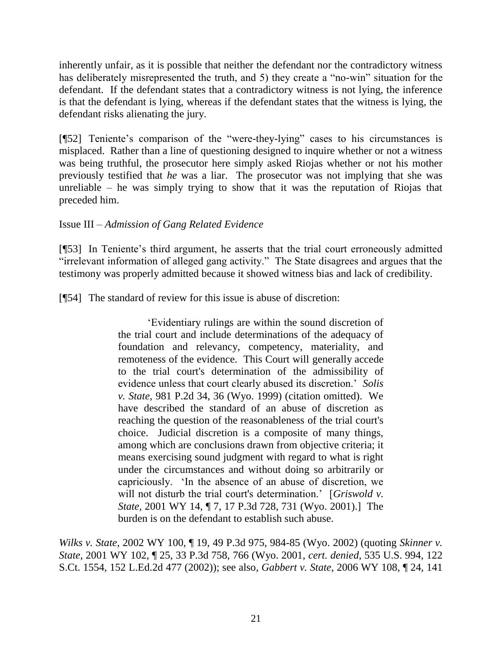inherently unfair, as it is possible that neither the defendant nor the contradictory witness has deliberately misrepresented the truth, and 5) they create a "no-win" situation for the defendant. If the defendant states that a contradictory witness is not lying, the inference is that the defendant is lying, whereas if the defendant states that the witness is lying, the defendant risks alienating the jury.

[¶52] Teniente's comparison of the "were-they-lying" cases to his circumstances is misplaced. Rather than a line of questioning designed to inquire whether or not a witness was being truthful, the prosecutor here simply asked Riojas whether or not his mother previously testified that *he* was a liar. The prosecutor was not implying that she was unreliable – he was simply trying to show that it was the reputation of Riojas that preceded him.

## Issue III – *Admission of Gang Related Evidence*

[¶53] In Teniente's third argument, he asserts that the trial court erroneously admitted "irrelevant information of alleged gang activity." The State disagrees and argues that the testimony was properly admitted because it showed witness bias and lack of credibility.

[¶54] The standard of review for this issue is abuse of discretion:

"Evidentiary rulings are within the sound discretion of the trial court and include determinations of the adequacy of foundation and relevancy, competency, materiality, and remoteness of the evidence. This Court will generally accede to the trial court's determination of the admissibility of evidence unless that court clearly abused its discretion." *Solis v. State*, 981 P.2d 34, 36 (Wyo. 1999) (citation omitted). We have described the standard of an abuse of discretion as reaching the question of the reasonableness of the trial court's choice. Judicial discretion is a composite of many things, among which are conclusions drawn from objective criteria; it means exercising sound judgment with regard to what is right under the circumstances and without doing so arbitrarily or capriciously. "In the absence of an abuse of discretion, we will not disturb the trial court's determination.' [*Griswold v.*] *State,* 2001 WY 14, ¶ 7, 17 P.3d 728, 731 (Wyo. 2001).] The burden is on the defendant to establish such abuse.

*Wilks v. State,* 2002 WY 100, ¶ 19, 49 P.3d 975, 984-85 (Wyo. 2002) (quoting *Skinner v. State*, 2001 WY 102, ¶ 25, 33 P.3d 758, 766 (Wyo. 2001, *cert. denied*, 535 U.S. 994, 122 S.Ct. 1554, 152 L.Ed.2d 477 (2002)); see also*, Gabbert v. State*, 2006 WY 108, ¶ 24, 141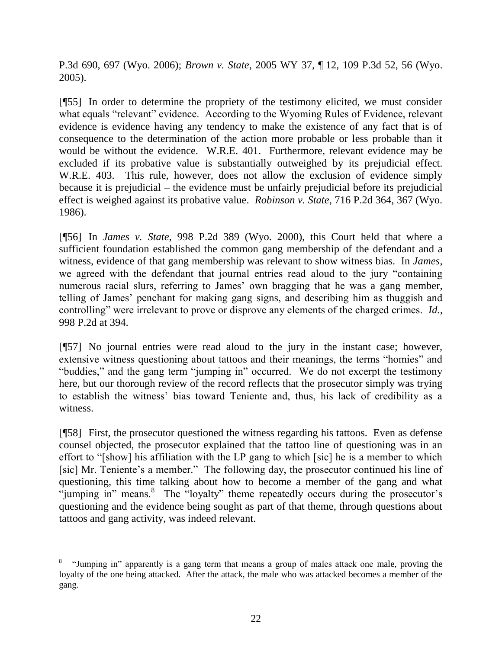P.3d 690, 697 (Wyo. 2006); *Brown v. State*, 2005 WY 37, ¶ 12, 109 P.3d 52, 56 (Wyo. 2005).

[¶55] In order to determine the propriety of the testimony elicited, we must consider what equals "relevant" evidence. According to the Wyoming Rules of Evidence, relevant evidence is evidence having any tendency to make the existence of any fact that is of consequence to the determination of the action more probable or less probable than it would be without the evidence. W.R.E. 401. Furthermore, relevant evidence may be excluded if its probative value is substantially outweighed by its prejudicial effect. W.R.E. 403. This rule, however, does not allow the exclusion of evidence simply because it is prejudicial – the evidence must be unfairly prejudicial before its prejudicial effect is weighed against its probative value. *Robinson v. State*, 716 P.2d 364, 367 (Wyo. 1986).

[¶56] In *James v. State*, 998 P.2d 389 (Wyo. 2000), this Court held that where a sufficient foundation established the common gang membership of the defendant and a witness, evidence of that gang membership was relevant to show witness bias. In *James*, we agreed with the defendant that journal entries read aloud to the jury "containing numerous racial slurs, referring to James' own bragging that he was a gang member, telling of James" penchant for making gang signs, and describing him as thuggish and controlling" were irrelevant to prove or disprove any elements of the charged crimes. *Id.*, 998 P.2d at 394.

[¶57] No journal entries were read aloud to the jury in the instant case; however, extensive witness questioning about tattoos and their meanings, the terms "homies" and "buddies," and the gang term "jumping in" occurred. We do not excerpt the testimony here, but our thorough review of the record reflects that the prosecutor simply was trying to establish the witness" bias toward Teniente and, thus, his lack of credibility as a witness.

[¶58] First, the prosecutor questioned the witness regarding his tattoos. Even as defense counsel objected, the prosecutor explained that the tattoo line of questioning was in an effort to "[show] his affiliation with the LP gang to which [sic] he is a member to which [sic] Mr. Teniente's a member." The following day, the prosecutor continued his line of questioning, this time talking about how to become a member of the gang and what "jumping in" means.<sup>8</sup> The "loyalty" theme repeatedly occurs during the prosecutor's questioning and the evidence being sought as part of that theme, through questions about tattoos and gang activity, was indeed relevant.

<sup>8</sup> "Jumping in" apparently is a gang term that means a group of males attack one male, proving the loyalty of the one being attacked. After the attack, the male who was attacked becomes a member of the gang.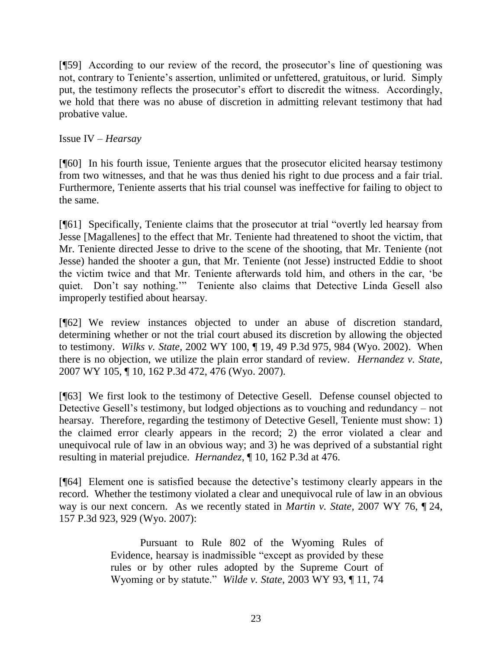[¶59] According to our review of the record, the prosecutor's line of questioning was not, contrary to Teniente's assertion, unlimited or unfettered, gratuitous, or lurid. Simply put, the testimony reflects the prosecutor's effort to discredit the witness. Accordingly, we hold that there was no abuse of discretion in admitting relevant testimony that had probative value.

Issue IV – *Hearsay*

[¶60] In his fourth issue, Teniente argues that the prosecutor elicited hearsay testimony from two witnesses, and that he was thus denied his right to due process and a fair trial. Furthermore, Teniente asserts that his trial counsel was ineffective for failing to object to the same.

[¶61] Specifically, Teniente claims that the prosecutor at trial "overtly led hearsay from Jesse [Magallenes] to the effect that Mr. Teniente had threatened to shoot the victim, that Mr. Teniente directed Jesse to drive to the scene of the shooting, that Mr. Teniente (not Jesse) handed the shooter a gun, that Mr. Teniente (not Jesse) instructed Eddie to shoot the victim twice and that Mr. Teniente afterwards told him, and others in the car, "be quiet. Don't say nothing."" Teniente also claims that Detective Linda Gesell also improperly testified about hearsay.

[¶62] We review instances objected to under an abuse of discretion standard, determining whether or not the trial court abused its discretion by allowing the objected to testimony. *Wilks v. State,* 2002 WY 100, ¶ 19, 49 P.3d 975, 984 (Wyo. 2002). When there is no objection, we utilize the plain error standard of review. *Hernandez v. State,*  2007 WY 105, ¶ 10, 162 P.3d 472, 476 (Wyo. 2007).

[¶63] We first look to the testimony of Detective Gesell. Defense counsel objected to Detective Gesell"s testimony, but lodged objections as to vouching and redundancy – not hearsay. Therefore, regarding the testimony of Detective Gesell, Teniente must show: 1) the claimed error clearly appears in the record; 2) the error violated a clear and unequivocal rule of law in an obvious way; and 3) he was deprived of a substantial right resulting in material prejudice. *Hernandez*, ¶ 10, 162 P.3d at 476.

[¶64] Element one is satisfied because the detective"s testimony clearly appears in the record. Whether the testimony violated a clear and unequivocal rule of law in an obvious way is our next concern. As we recently stated in *Martin v. State,* 2007 WY 76, ¶ 24, 157 P.3d 923, 929 (Wyo. 2007):

> Pursuant to Rule 802 of the Wyoming Rules of Evidence, hearsay is inadmissible "except as provided by these rules or by other rules adopted by the Supreme Court of Wyoming or by statute." *Wilde v. State*, 2003 WY 93, ¶ 11, 74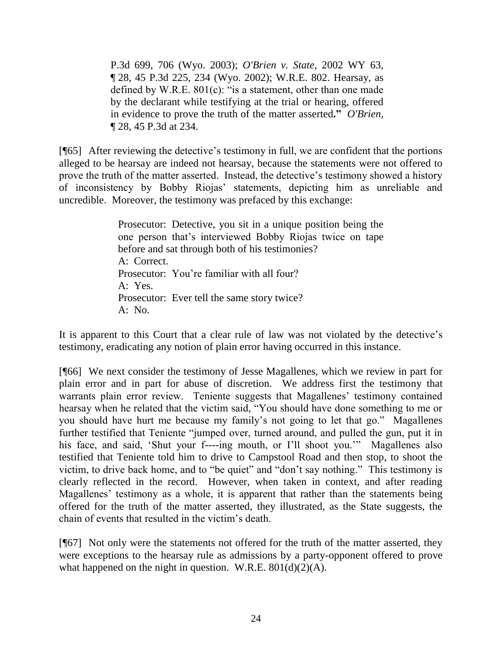P.3d 699, 706 (Wyo. 2003); *O'Brien v. State*, 2002 WY 63, ¶ 28, 45 P.3d 225, 234 (Wyo. 2002); W.R.E. 802. Hearsay, as defined by W.R.E. 801(c): "is a statement, other than one made by the declarant while testifying at the trial or hearing, offered in evidence to prove the truth of the matter asserted**."** *O'Brien,*  ¶ 28, 45 P.3d at 234.

[¶65] After reviewing the detective"s testimony in full, we are confident that the portions alleged to be hearsay are indeed not hearsay, because the statements were not offered to prove the truth of the matter asserted. Instead, the detective's testimony showed a history of inconsistency by Bobby Riojas" statements, depicting him as unreliable and uncredible. Moreover, the testimony was prefaced by this exchange:

> Prosecutor: Detective, you sit in a unique position being the one person that"s interviewed Bobby Riojas twice on tape before and sat through both of his testimonies? A: Correct. Prosecutor: You're familiar with all four? A: Yes. Prosecutor: Ever tell the same story twice?  $A: No.$

It is apparent to this Court that a clear rule of law was not violated by the detective's testimony, eradicating any notion of plain error having occurred in this instance.

[¶66] We next consider the testimony of Jesse Magallenes, which we review in part for plain error and in part for abuse of discretion. We address first the testimony that warrants plain error review. Teniente suggests that Magallenes' testimony contained hearsay when he related that the victim said, "You should have done something to me or you should have hurt me because my family"s not going to let that go." Magallenes further testified that Teniente "jumped over, turned around, and pulled the gun, put it in his face, and said, "Shut your f----ing mouth, or I"ll shoot you."" Magallenes also testified that Teniente told him to drive to Campstool Road and then stop, to shoot the victim, to drive back home, and to "be quiet" and "don"t say nothing." This testimony is clearly reflected in the record. However, when taken in context, and after reading Magallenes' testimony as a whole, it is apparent that rather than the statements being offered for the truth of the matter asserted, they illustrated, as the State suggests, the chain of events that resulted in the victim"s death.

[¶67] Not only were the statements not offered for the truth of the matter asserted, they were exceptions to the hearsay rule as admissions by a party-opponent offered to prove what happened on the night in question. W.R.E.  $801(d)(2)(A)$ .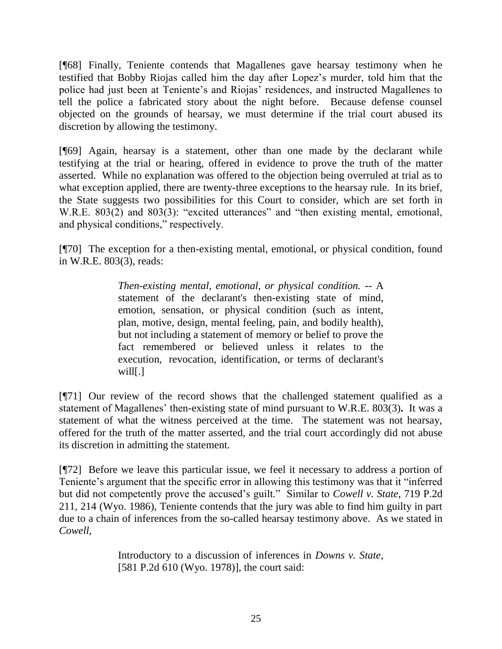[¶68] Finally, Teniente contends that Magallenes gave hearsay testimony when he testified that Bobby Riojas called him the day after Lopez"s murder, told him that the police had just been at Teniente's and Riojas' residences, and instructed Magallenes to tell the police a fabricated story about the night before. Because defense counsel objected on the grounds of hearsay, we must determine if the trial court abused its discretion by allowing the testimony.

[¶69] Again, hearsay is a statement, other than one made by the declarant while testifying at the trial or hearing, offered in evidence to prove the truth of the matter asserted. While no explanation was offered to the objection being overruled at trial as to what exception applied, there are twenty-three exceptions to the hearsay rule. In its brief, the State suggests two possibilities for this Court to consider, which are set forth in W.R.E. 803(2) and 803(3): "excited utterances" and "then existing mental, emotional, and physical conditions," respectively.

[¶70] The exception for a then-existing mental, emotional, or physical condition, found in W.R.E. 803(3), reads:

> *Then-existing mental, emotional, or physical condition. --* A statement of the declarant's then-existing state of mind, emotion, sensation, or physical condition (such as intent, plan, motive, design, mental feeling, pain, and bodily health), but not including a statement of memory or belief to prove the fact remembered or believed unless it relates to the execution, revocation, identification, or terms of declarant's will[.]

[¶71] Our review of the record shows that the challenged statement qualified as a statement of Magallenes' then-existing state of mind pursuant to W.R.E. 803(3). It was a statement of what the witness perceived at the time. The statement was not hearsay, offered for the truth of the matter asserted, and the trial court accordingly did not abuse its discretion in admitting the statement.

[¶72] Before we leave this particular issue, we feel it necessary to address a portion of Teniente's argument that the specific error in allowing this testimony was that it "inferred" but did not competently prove the accused"s guilt." Similar to *Cowell v. State*, 719 P.2d 211, 214 (Wyo. 1986), Teniente contends that the jury was able to find him guilty in part due to a chain of inferences from the so-called hearsay testimony above. As we stated in *Cowell*,

> Introductory to a discussion of inferences in *Downs v. State,* [581 P.2d 610 (Wyo. 1978)], the court said: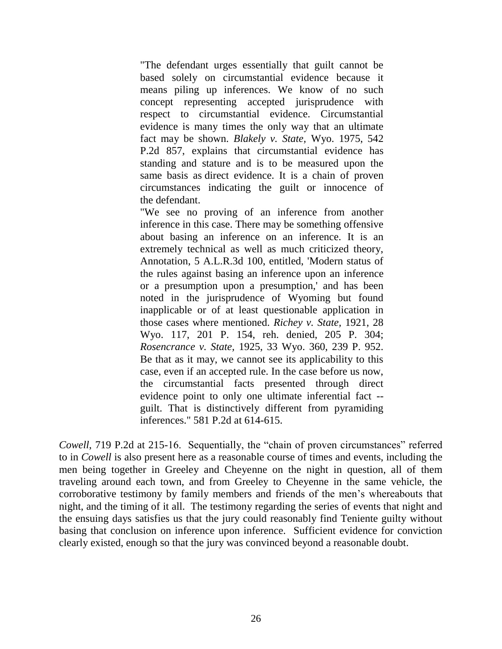"The defendant urges essentially that guilt cannot be based solely on circumstantial evidence because it means piling up inferences. We know of no such concept representing accepted jurisprudence with respect to circumstantial evidence. Circumstantial evidence is many times the only way that an ultimate fact may be shown. *Blakely v. State,* Wyo. 1975, 542 P.2d 857, explains that circumstantial evidence has standing and stature and is to be measured upon the same basis as direct evidence. It is a chain of proven circumstances indicating the guilt or innocence of the defendant.

"We see no proving of an inference from another inference in this case. There may be something offensive about basing an inference on an inference. It is an extremely technical as well as much criticized theory, Annotation, 5 A.L.R.3d 100, entitled, 'Modern status of the rules against basing an inference upon an inference or a presumption upon a presumption,' and has been noted in the jurisprudence of Wyoming but found inapplicable or of at least questionable application in those cases where mentioned. *Richey v. State,* 1921, 28 Wyo. 117, 201 P. 154, reh. denied, 205 P. 304; *Rosencrance v. State,* 1925, 33 Wyo. 360, 239 P. 952. Be that as it may, we cannot see its applicability to this case, even if an accepted rule. In the case before us now, the circumstantial facts presented through direct evidence point to only one ultimate inferential fact - guilt. That is distinctively different from pyramiding inferences." 581 P.2d at 614-615.

*Cowell*, 719 P.2d at 215-16. Sequentially, the "chain of proven circumstances" referred to in *Cowell* is also present here as a reasonable course of times and events, including the men being together in Greeley and Cheyenne on the night in question, all of them traveling around each town, and from Greeley to Cheyenne in the same vehicle, the corroborative testimony by family members and friends of the men"s whereabouts that night, and the timing of it all. The testimony regarding the series of events that night and the ensuing days satisfies us that the jury could reasonably find Teniente guilty without basing that conclusion on inference upon inference. Sufficient evidence for conviction clearly existed, enough so that the jury was convinced beyond a reasonable doubt.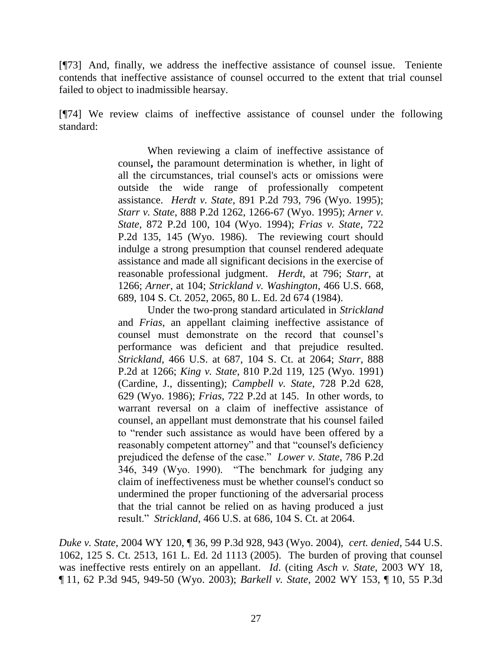[¶73] And, finally, we address the ineffective assistance of counsel issue. Teniente contends that ineffective assistance of counsel occurred to the extent that trial counsel failed to object to inadmissible hearsay.

[¶74] We review claims of ineffective assistance of counsel under the following standard:

> When reviewing a claim of ineffective assistance of counsel**,** the paramount determination is whether, in light of all the circumstances, trial counsel's acts or omissions were outside the wide range of professionally competent assistance. *Herdt v. State*, 891 P.2d 793, 796 (Wyo. 1995); *Starr v. State*, 888 P.2d 1262, 1266-67 (Wyo. 1995); *Arner v. State*, 872 P.2d 100, 104 (Wyo. 1994); *Frias v. State*, 722 P.2d 135, 145 (Wyo. 1986). The reviewing court should indulge a strong presumption that counsel rendered adequate assistance and made all significant decisions in the exercise of reasonable professional judgment. *Herdt*[, at 796;](http://www.lexis.com/research/buttonTFLink?_m=a5ba16d8f8bc49a72f7125e5e868b2a9&_xfercite=%3ccite%20cc%3d%22USA%22%3e%3c%21%5bCDATA%5b2005%20WY%20164%5d%5d%3e%3c%2fcite%3e&_butType=3&_butStat=2&_butNum=30&_butInline=1&_butinfo=%3ccite%20cc%3d%22USA%22%3e%3c%21%5bCDATA%5b891%20P.2d%20793%2c%20796%5d%5d%3e%3c%2fcite%3e&_fmtstr=FULL&docnum=3&_startdoc=1&wchp=dGLbVzb-zSkAt&_md5=afa6d9cde8d094d207e7d818839af72d) *Starr*, at 1266; *Arner*[, at 104;](http://www.lexis.com/research/buttonTFLink?_m=a5ba16d8f8bc49a72f7125e5e868b2a9&_xfercite=%3ccite%20cc%3d%22USA%22%3e%3c%21%5bCDATA%5b2005%20WY%20164%5d%5d%3e%3c%2fcite%3e&_butType=3&_butStat=2&_butNum=32&_butInline=1&_butinfo=%3ccite%20cc%3d%22USA%22%3e%3c%21%5bCDATA%5b872%20P.2d%20100%2c%20104%5d%5d%3e%3c%2fcite%3e&_fmtstr=FULL&docnum=3&_startdoc=1&wchp=dGLbVzb-zSkAt&_md5=57bbec950b059f1c058381474e015984) *Strickland v. Washington*, 466 U.S. 668, 689, 104 S. Ct. 2052, 2065, 80 L. Ed. 2d 674 (1984).

> Under the two-prong standard articulated in *Strickland* and *Frias*, an appellant claiming ineffective assistance of counsel must demonstrate on the record that counsel"s performance was deficient and that prejudice resulted. *Strickland*, 466 U.S. at 687, 104 S. Ct. at 2064; *Starr*[, 888](http://www.lexis.com/research/buttonTFLink?_m=a5ba16d8f8bc49a72f7125e5e868b2a9&_xfercite=%3ccite%20cc%3d%22USA%22%3e%3c%21%5bCDATA%5b2005%20WY%20164%5d%5d%3e%3c%2fcite%3e&_butType=3&_butStat=2&_butNum=36&_butInline=1&_butinfo=%3ccite%20cc%3d%22USA%22%3e%3c%21%5bCDATA%5b888%20P.2d%201262%2c%201266%5d%5d%3e%3c%2fcite%3e&_fmtstr=FULL&docnum=3&_startdoc=1&wchp=dGLbVzb-zSkAt&_md5=aefa6aee3d4efacff7be995d6660732d)  [P.2d at 1266;](http://www.lexis.com/research/buttonTFLink?_m=a5ba16d8f8bc49a72f7125e5e868b2a9&_xfercite=%3ccite%20cc%3d%22USA%22%3e%3c%21%5bCDATA%5b2005%20WY%20164%5d%5d%3e%3c%2fcite%3e&_butType=3&_butStat=2&_butNum=36&_butInline=1&_butinfo=%3ccite%20cc%3d%22USA%22%3e%3c%21%5bCDATA%5b888%20P.2d%201262%2c%201266%5d%5d%3e%3c%2fcite%3e&_fmtstr=FULL&docnum=3&_startdoc=1&wchp=dGLbVzb-zSkAt&_md5=aefa6aee3d4efacff7be995d6660732d) *King v. State*, 810 P.2d 119, 125 (Wyo. 1991) (Cardine, J., dissenting); *Campbell v. State*, 728 P.2d 628, 629 (Wyo. 1986); *Frias*[, 722 P.2d at 145.](http://www.lexis.com/research/buttonTFLink?_m=a5ba16d8f8bc49a72f7125e5e868b2a9&_xfercite=%3ccite%20cc%3d%22USA%22%3e%3c%21%5bCDATA%5b2005%20WY%20164%5d%5d%3e%3c%2fcite%3e&_butType=3&_butStat=2&_butNum=39&_butInline=1&_butinfo=%3ccite%20cc%3d%22USA%22%3e%3c%21%5bCDATA%5b722%20P.2d%20135%2c%20145%5d%5d%3e%3c%2fcite%3e&_fmtstr=FULL&docnum=3&_startdoc=1&wchp=dGLbVzb-zSkAt&_md5=fc4ebdd21ae76ec030ffb3b7fee5f62d) In other words, to warrant reversal on a claim of ineffective assistance of counsel, an appellant must demonstrate that his counsel failed to "render such assistance as would have been offered by a reasonably competent attorney" and that "counsel's deficiency prejudiced the defense of the case." *Lower v. State*, 786 P.2d 346, 349 (Wyo. 1990). "The benchmark for judging any claim of ineffectiveness must be whether counsel's conduct so undermined the proper functioning of the adversarial process that the trial cannot be relied on as having produced a just result." *Strickland*[, 466 U.S. at 686, 104 S. Ct. at 2064.](http://www.lexis.com/research/buttonTFLink?_m=a5ba16d8f8bc49a72f7125e5e868b2a9&_xfercite=%3ccite%20cc%3d%22USA%22%3e%3c%21%5bCDATA%5b2005%20WY%20164%5d%5d%3e%3c%2fcite%3e&_butType=3&_butStat=2&_butNum=41&_butInline=1&_butinfo=%3ccite%20cc%3d%22USA%22%3e%3c%21%5bCDATA%5b466%20U.S.%20668%2c%20686%5d%5d%3e%3c%2fcite%3e&_fmtstr=FULL&docnum=3&_startdoc=1&wchp=dGLbVzb-zSkAt&_md5=611e9cbf675273dd2593446a422d75b8)

*Duke v. State*, 2004 WY 120, ¶ 36, 99 P.3d 928, 943 (Wyo. 2004), *cert. denied*, 544 U.S. 1062, 125 S. Ct. 2513, 161 L. Ed. 2d 1113 (2005). The burden of proving that counsel was ineffective rests entirely on an appellant. *Id*. (citing *Asch v. State*, 2003 WY 18, ¶ 11, 62 P.3d 945, 949-50 (Wyo. 2003); *Barkell v. State*, 2002 WY 153, ¶ 10, 55 P.3d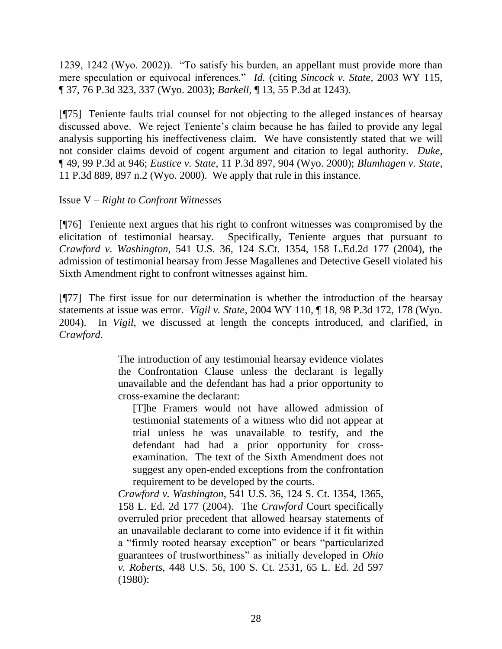1239, 1242 (Wyo. 2002)). "To satisfy his burden, an appellant must provide more than mere speculation or equivocal inferences." *Id.* (citing *Sincock v. State*, 2003 WY 115, ¶ 37, 76 P.3d 323, 337 (Wyo. 2003); *Barkell*, ¶ 13, 55 P.3d at 1243).

[¶75] Teniente faults trial counsel for not objecting to the alleged instances of hearsay discussed above. We reject Teniente"s claim because he has failed to provide any legal analysis supporting his ineffectiveness claim. We have consistently stated that we will not consider claims devoid of cogent argument and citation to legal authority. *Duke*, ¶ 49, 99 P.3d at 946; *Eustice v. State*, 11 P.3d 897, 904 (Wyo. 2000); *Blumhagen v. State*, 11 P.3d 889, 897 n.2 (Wyo. 2000). We apply that rule in this instance.

### Issue V *– Right to Confront Witnesses*

[¶76] Teniente next argues that his right to confront witnesses was compromised by the elicitation of testimonial hearsay. Specifically, Teniente argues that pursuant to *Crawford v. Washington,* 541 U.S. 36, 124 S.Ct. 1354, 158 L.Ed.2d 177 (2004), the admission of testimonial hearsay from Jesse Magallenes and Detective Gesell violated his Sixth Amendment right to confront witnesses against him.

[¶77] The first issue for our determination is whether the introduction of the hearsay statements at issue was error. *Vigil v. State*, 2004 WY 110, ¶ 18, 98 P.3d 172, 178 (Wyo. 2004). In *Vigil*, we discussed at length the concepts introduced, and clarified, in *Crawford.*

> The introduction of any testimonial hearsay evidence violates the Confrontation Clause unless the declarant is legally unavailable and the defendant has had a prior opportunity to cross-examine the declarant:

[T]he Framers would not have allowed admission of testimonial statements of a witness who did not appear at trial unless he was unavailable to testify, and the defendant had had a prior opportunity for crossexamination. The text of the Sixth Amendment does not suggest any open-ended exceptions from the confrontation requirement to be developed by the courts.

*Crawford v. Washington*, 541 U.S. 36, 124 S. Ct. 1354, 1365, 158 L. Ed. 2d 177 (2004). The *Crawford* Court specifically overruled prior precedent that allowed hearsay statements of an unavailable declarant to come into evidence if it fit within a "firmly rooted hearsay exception" or bears "particularized guarantees of trustworthiness" as initially developed in *Ohio v. Roberts*, 448 U.S. 56, 100 S. Ct. 2531, 65 L. Ed. 2d 597 (1980):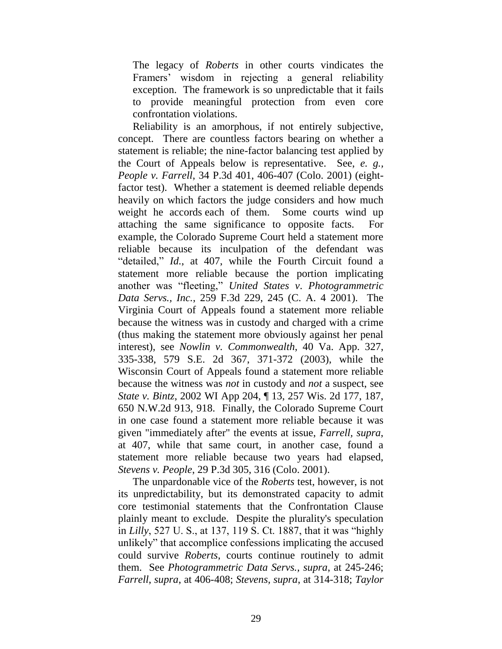The legacy of *Roberts* in other courts vindicates the Framers" wisdom in rejecting a general reliability exception. The framework is so unpredictable that it fails to provide meaningful protection from even core confrontation violations.

Reliability is an amorphous, if not entirely subjective, concept. There are countless factors bearing on whether a statement is reliable; the nine-factor balancing test applied by the Court of Appeals below is representative. See, *e. g., People v. Farrell*, 34 P.3d 401, 406-407 (Colo. 2001) (eightfactor test). Whether a statement is deemed reliable depends heavily on which factors the judge considers and how much weight he accords each of them. Some courts wind up attaching the same significance to opposite facts. For example, the Colorado Supreme Court held a statement more reliable because its inculpation of the defendant was "detailed," *Id.*, at 407, while the Fourth Circuit found a statement more reliable because the portion implicating another was "fleeting," *United States v*. *Photogrammetric Data Servs., Inc.*, 259 F.3d 229, 245 (C. A. 4 2001). The Virginia Court of Appeals found a statement more reliable because the witness was in custody and charged with a crime (thus making the statement more obviously against her penal interest), see *Nowlin v. Commonwealth*, 40 Va. App. 327, 335-338, 579 S.E. 2d 367, 371-372 (2003), while the Wisconsin Court of Appeals found a statement more reliable because the witness was *not* in custody and *not* a suspect, see *State v. Bintz*, 2002 WI App 204, ¶ 13, 257 Wis. 2d 177, 187, 650 N.W.2d 913, 918. Finally, the Colorado Supreme Court in one case found a statement more reliable because it was given "immediately after" the events at issue, *[Farrell,](http://www.lexis.com/research/buttonTFLink?_m=95675e4f6f374bd7567acd630290826c&_xfercite=%3ccite%20cc%3d%22USA%22%3e%3c%21%5bCDATA%5b2004%20WY%20110%5d%5d%3e%3c%2fcite%3e&_butType=3&_butStat=2&_butNum=68&_butInline=1&_butinfo=%3ccite%20cc%3d%22USA%22%3e%3c%21%5bCDATA%5b34%20P.3d%20401%2c%20407%5d%5d%3e%3c%2fcite%3e&_fmtstr=FULL&docnum=2&_startdoc=1&wchp=dGLbVlb-zSkAz&_md5=2d93dae89b4276772da2e981066f667f) supra*, [at 407,](http://www.lexis.com/research/buttonTFLink?_m=95675e4f6f374bd7567acd630290826c&_xfercite=%3ccite%20cc%3d%22USA%22%3e%3c%21%5bCDATA%5b2004%20WY%20110%5d%5d%3e%3c%2fcite%3e&_butType=3&_butStat=2&_butNum=68&_butInline=1&_butinfo=%3ccite%20cc%3d%22USA%22%3e%3c%21%5bCDATA%5b34%20P.3d%20401%2c%20407%5d%5d%3e%3c%2fcite%3e&_fmtstr=FULL&docnum=2&_startdoc=1&wchp=dGLbVlb-zSkAz&_md5=2d93dae89b4276772da2e981066f667f) while that same court, in another case, found a statement more reliable because two years had elapsed, *Stevens v. People*, 29 P.3d 305, 316 (Colo. 2001).

The unpardonable vice of the *Roberts* test, however, is not its unpredictability, but its demonstrated capacity to admit core testimonial statements that the Confrontation Clause plainly meant to exclude. Despite the plurality's speculation in *Lilly*, 527 U. S., at 137, 119 S. Ct. 1887, that it was "highly unlikely" that accomplice confessions implicating the accused could survive *Roberts*, courts continue routinely to admit them. See *[Photogrammetric Data Servs., supra](http://www.lexis.com/research/buttonTFLink?_m=95675e4f6f374bd7567acd630290826c&_xfercite=%3ccite%20cc%3d%22USA%22%3e%3c%21%5bCDATA%5b2004%20WY%20110%5d%5d%3e%3c%2fcite%3e&_butType=3&_butStat=2&_butNum=72&_butInline=1&_butinfo=%3ccite%20cc%3d%22USA%22%3e%3c%21%5bCDATA%5b259%20F.3d%20229%2c%20245%5d%5d%3e%3c%2fcite%3e&_fmtstr=FULL&docnum=2&_startdoc=1&wchp=dGLbVlb-zSkAz&_md5=1ac2815d788b034f3d63b20410a89e02)*, at 245-246; *Farrell*, *supra*[, at 406-408;](http://www.lexis.com/research/buttonTFLink?_m=95675e4f6f374bd7567acd630290826c&_xfercite=%3ccite%20cc%3d%22USA%22%3e%3c%21%5bCDATA%5b2004%20WY%20110%5d%5d%3e%3c%2fcite%3e&_butType=3&_butStat=2&_butNum=73&_butInline=1&_butinfo=%3ccite%20cc%3d%22USA%22%3e%3c%21%5bCDATA%5b34%20P.3d%20401%2c%20406%5d%5d%3e%3c%2fcite%3e&_fmtstr=FULL&docnum=2&_startdoc=1&wchp=dGLbVlb-zSkAz&_md5=5d335480a6131c9367ac4e2529edd81d) *[Stevens, supra](http://www.lexis.com/research/buttonTFLink?_m=95675e4f6f374bd7567acd630290826c&_xfercite=%3ccite%20cc%3d%22USA%22%3e%3c%21%5bCDATA%5b2004%20WY%20110%5d%5d%3e%3c%2fcite%3e&_butType=3&_butStat=2&_butNum=74&_butInline=1&_butinfo=%3ccite%20cc%3d%22USA%22%3e%3c%21%5bCDATA%5b29%20P.3d%20305%2c%20314%5d%5d%3e%3c%2fcite%3e&_fmtstr=FULL&docnum=2&_startdoc=1&wchp=dGLbVlb-zSkAz&_md5=343f28eb97a715bc7aa2e8e93eac041d)*, at 314-318; *[Taylor](http://www.lexis.com/research/buttonTFLink?_m=95675e4f6f374bd7567acd630290826c&_xfercite=%3ccite%20cc%3d%22USA%22%3e%3c%21%5bCDATA%5b2004%20WY%20110%5d%5d%3e%3c%2fcite%3e&_butType=3&_butStat=2&_butNum=75&_butInline=1&_butinfo=%3ccite%20cc%3d%22USA%22%3e%3c%21%5bCDATA%5b63%20S.W.3d%20151%2c%20166%5d%5d%3e%3c%2fcite%3e&_fmtstr=FULL&docnum=2&_startdoc=1&wchp=dGLbVlb-zSkAz&_md5=1a9d4bfd5a41952a556040446b49f7fc)*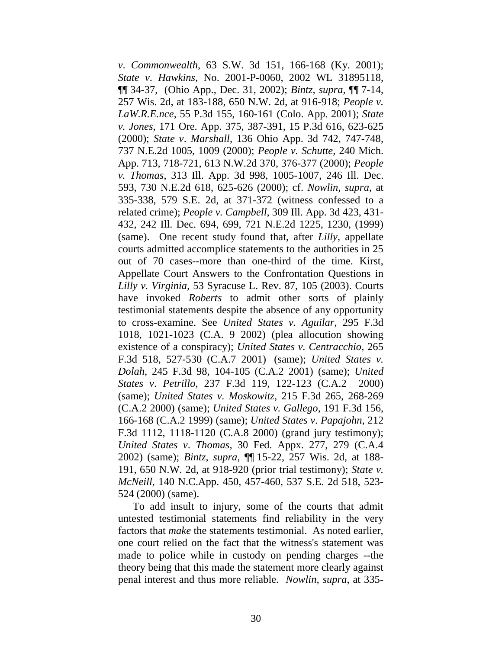*v*. *Commonwealth*, 63 S.W. 3d 151, 166-168 (Ky. 2001); *State v*. *Hawkins*, No. 2001-P-0060, 2002 WL 31895118, ¶¶ 34-37, (Ohio App., Dec. 31, 2002); *[Bintz, supra](http://www.lexis.com/research/buttonTFLink?_m=95675e4f6f374bd7567acd630290826c&_xfercite=%3ccite%20cc%3d%22USA%22%3e%3c%21%5bCDATA%5b2004%20WY%20110%5d%5d%3e%3c%2fcite%3e&_butType=3&_butStat=2&_butNum=77&_butInline=1&_butinfo=%3ccite%20cc%3d%22USA%22%3e%3c%21%5bCDATA%5b2002%20WI%20App%20204%5d%5d%3e%3c%2fcite%3e&_fmtstr=FULL&docnum=2&_startdoc=1&wchp=dGLbVlb-zSkAz&_md5=54d062a3f06f6ab7814231997ee989f5)*, ¶¶ 7-14, [257 Wis. 2d, at 183-188, 650 N.W. 2d, at 916-918;](http://www.lexis.com/research/buttonTFLink?_m=95675e4f6f374bd7567acd630290826c&_xfercite=%3ccite%20cc%3d%22USA%22%3e%3c%21%5bCDATA%5b2004%20WY%20110%5d%5d%3e%3c%2fcite%3e&_butType=3&_butStat=2&_butNum=77&_butInline=1&_butinfo=%3ccite%20cc%3d%22USA%22%3e%3c%21%5bCDATA%5b2002%20WI%20App%20204%5d%5d%3e%3c%2fcite%3e&_fmtstr=FULL&docnum=2&_startdoc=1&wchp=dGLbVlb-zSkAz&_md5=54d062a3f06f6ab7814231997ee989f5) *[People v.](http://www.lexis.com/research/buttonTFLink?_m=95675e4f6f374bd7567acd630290826c&_xfercite=%3ccite%20cc%3d%22USA%22%3e%3c%21%5bCDATA%5b2004%20WY%20110%5d%5d%3e%3c%2fcite%3e&_butType=3&_butStat=2&_butNum=78&_butInline=1&_butinfo=%3ccite%20cc%3d%22USA%22%3e%3c%21%5bCDATA%5b55%20P.3d%20155%2c%20160%5d%5d%3e%3c%2fcite%3e&_fmtstr=FULL&docnum=2&_startdoc=1&wchp=dGLbVlb-zSkAz&_md5=4c8bca4f0e088ecb081f52581b538567)  LaW.R.E.nce*[, 55 P.3d 155, 160-161 \(Colo. App. 2001\);](http://www.lexis.com/research/buttonTFLink?_m=95675e4f6f374bd7567acd630290826c&_xfercite=%3ccite%20cc%3d%22USA%22%3e%3c%21%5bCDATA%5b2004%20WY%20110%5d%5d%3e%3c%2fcite%3e&_butType=3&_butStat=2&_butNum=78&_butInline=1&_butinfo=%3ccite%20cc%3d%22USA%22%3e%3c%21%5bCDATA%5b55%20P.3d%20155%2c%20160%5d%5d%3e%3c%2fcite%3e&_fmtstr=FULL&docnum=2&_startdoc=1&wchp=dGLbVlb-zSkAz&_md5=4c8bca4f0e088ecb081f52581b538567) *[State](http://www.lexis.com/research/buttonTFLink?_m=95675e4f6f374bd7567acd630290826c&_xfercite=%3ccite%20cc%3d%22USA%22%3e%3c%21%5bCDATA%5b2004%20WY%20110%5d%5d%3e%3c%2fcite%3e&_butType=3&_butStat=2&_butNum=79&_butInline=1&_butinfo=%3ccite%20cc%3d%22USA%22%3e%3c%21%5bCDATA%5b171%20Ore.%20App.%20375%2c%20387%5d%5d%3e%3c%2fcite%3e&_fmtstr=FULL&docnum=2&_startdoc=1&wchp=dGLbVlb-zSkAz&_md5=df23719dbf8dee511967a13a105b28d1)  v. Jones*[, 171 Ore. App. 375, 387-391, 15 P.3d 616, 623-625](http://www.lexis.com/research/buttonTFLink?_m=95675e4f6f374bd7567acd630290826c&_xfercite=%3ccite%20cc%3d%22USA%22%3e%3c%21%5bCDATA%5b2004%20WY%20110%5d%5d%3e%3c%2fcite%3e&_butType=3&_butStat=2&_butNum=79&_butInline=1&_butinfo=%3ccite%20cc%3d%22USA%22%3e%3c%21%5bCDATA%5b171%20Ore.%20App.%20375%2c%20387%5d%5d%3e%3c%2fcite%3e&_fmtstr=FULL&docnum=2&_startdoc=1&wchp=dGLbVlb-zSkAz&_md5=df23719dbf8dee511967a13a105b28d1)  [\(2000\);](http://www.lexis.com/research/buttonTFLink?_m=95675e4f6f374bd7567acd630290826c&_xfercite=%3ccite%20cc%3d%22USA%22%3e%3c%21%5bCDATA%5b2004%20WY%20110%5d%5d%3e%3c%2fcite%3e&_butType=3&_butStat=2&_butNum=79&_butInline=1&_butinfo=%3ccite%20cc%3d%22USA%22%3e%3c%21%5bCDATA%5b171%20Ore.%20App.%20375%2c%20387%5d%5d%3e%3c%2fcite%3e&_fmtstr=FULL&docnum=2&_startdoc=1&wchp=dGLbVlb-zSkAz&_md5=df23719dbf8dee511967a13a105b28d1) *State v*. *Marshall*, 136 Ohio App. 3d 742, 747-748, 737 N.E.2d 1005, 1009 (2000); *People v. Schutte*, 240 Mich. App. 713, 718-721, 613 N.W.2d 370, 376-377 (2000); *People v. Thomas*, 313 Ill. App. 3d 998, 1005-1007, 246 Ill. Dec. 593, 730 N.E.2d 618, 625-626 (2000); cf. *[Nowlin, supra](http://www.lexis.com/research/buttonTFLink?_m=95675e4f6f374bd7567acd630290826c&_xfercite=%3ccite%20cc%3d%22USA%22%3e%3c%21%5bCDATA%5b2004%20WY%20110%5d%5d%3e%3c%2fcite%3e&_butType=3&_butStat=2&_butNum=83&_butInline=1&_butinfo=%3ccite%20cc%3d%22USA%22%3e%3c%21%5bCDATA%5b40%20Va.%20App.%20327%2c%20335%5d%5d%3e%3c%2fcite%3e&_fmtstr=FULL&docnum=2&_startdoc=1&wchp=dGLbVlb-zSkAz&_md5=51ef01a712ecf4869a03061ab6048ec8)*, at [335-338, 579 S.E. 2d, at 371-372](http://www.lexis.com/research/buttonTFLink?_m=95675e4f6f374bd7567acd630290826c&_xfercite=%3ccite%20cc%3d%22USA%22%3e%3c%21%5bCDATA%5b2004%20WY%20110%5d%5d%3e%3c%2fcite%3e&_butType=3&_butStat=2&_butNum=83&_butInline=1&_butinfo=%3ccite%20cc%3d%22USA%22%3e%3c%21%5bCDATA%5b40%20Va.%20App.%20327%2c%20335%5d%5d%3e%3c%2fcite%3e&_fmtstr=FULL&docnum=2&_startdoc=1&wchp=dGLbVlb-zSkAz&_md5=51ef01a712ecf4869a03061ab6048ec8) (witness confessed to a related crime); *People v. Campbell*[, 309 Ill. App. 3d 423, 431-](http://www.lexis.com/research/buttonTFLink?_m=95675e4f6f374bd7567acd630290826c&_xfercite=%3ccite%20cc%3d%22USA%22%3e%3c%21%5bCDATA%5b2004%20WY%20110%5d%5d%3e%3c%2fcite%3e&_butType=3&_butStat=2&_butNum=84&_butInline=1&_butinfo=%3ccite%20cc%3d%22USA%22%3e%3c%21%5bCDATA%5b309%20Ill.%20App.%203d%20423%2c%20431%5d%5d%3e%3c%2fcite%3e&_fmtstr=FULL&docnum=2&_startdoc=1&wchp=dGLbVlb-zSkAz&_md5=f2b7df4f24ba01432c1dba7e8536a7c2) [432, 242 Ill. Dec. 694, 699, 721 N.E.2d 1225, 1230, \(1999\)](http://www.lexis.com/research/buttonTFLink?_m=95675e4f6f374bd7567acd630290826c&_xfercite=%3ccite%20cc%3d%22USA%22%3e%3c%21%5bCDATA%5b2004%20WY%20110%5d%5d%3e%3c%2fcite%3e&_butType=3&_butStat=2&_butNum=84&_butInline=1&_butinfo=%3ccite%20cc%3d%22USA%22%3e%3c%21%5bCDATA%5b309%20Ill.%20App.%203d%20423%2c%20431%5d%5d%3e%3c%2fcite%3e&_fmtstr=FULL&docnum=2&_startdoc=1&wchp=dGLbVlb-zSkAz&_md5=f2b7df4f24ba01432c1dba7e8536a7c2) (same). One recent study found that, after *Lilly*, appellate courts admitted accomplice statements to the authorities in 25 out of 70 cases--more than one-third of the time. Kirst, Appellate Court Answers to the Confrontation Questions in *Lilly v. Virginia*, [53 Syracuse L. Rev. 87, 105 \(2003\).](http://www.lexis.com/research/buttonTFLink?_m=95675e4f6f374bd7567acd630290826c&_xfercite=%3ccite%20cc%3d%22USA%22%3e%3c%21%5bCDATA%5b2004%20WY%20110%5d%5d%3e%3c%2fcite%3e&_butType=3&_butStat=2&_butNum=85&_butInline=1&_butinfo=%3ccite%20cc%3d%22USA%22%3e%3c%21%5bCDATA%5b53%20Syracuse%20L.%20Rev.%2087%2c%20105%5d%5d%3e%3c%2fcite%3e&_fmtstr=FULL&docnum=2&_startdoc=1&wchp=dGLbVlb-zSkAz&_md5=556bce97c37940ee8ff50a4b24ef3a27) Courts have invoked *Roberts* to admit other sorts of plainly testimonial statements despite the absence of any opportunity to cross-examine. See *[United States v. Aguilar](http://www.lexis.com/research/buttonTFLink?_m=95675e4f6f374bd7567acd630290826c&_xfercite=%3ccite%20cc%3d%22USA%22%3e%3c%21%5bCDATA%5b2004%20WY%20110%5d%5d%3e%3c%2fcite%3e&_butType=3&_butStat=2&_butNum=86&_butInline=1&_butinfo=%3ccite%20cc%3d%22USA%22%3e%3c%21%5bCDATA%5b295%20F.3d%201018%2c%201021%5d%5d%3e%3c%2fcite%3e&_fmtstr=FULL&docnum=2&_startdoc=1&wchp=dGLbVlb-zSkAz&_md5=fb87b0f7b6d913b64c2c45ae01d3deeb)*, 295 F.3d [1018, 1021-1023 \(C.A. 9 2002\)](http://www.lexis.com/research/buttonTFLink?_m=95675e4f6f374bd7567acd630290826c&_xfercite=%3ccite%20cc%3d%22USA%22%3e%3c%21%5bCDATA%5b2004%20WY%20110%5d%5d%3e%3c%2fcite%3e&_butType=3&_butStat=2&_butNum=86&_butInline=1&_butinfo=%3ccite%20cc%3d%22USA%22%3e%3c%21%5bCDATA%5b295%20F.3d%201018%2c%201021%5d%5d%3e%3c%2fcite%3e&_fmtstr=FULL&docnum=2&_startdoc=1&wchp=dGLbVlb-zSkAz&_md5=fb87b0f7b6d913b64c2c45ae01d3deeb) (plea allocution showing existence of a conspiracy); *[United States v. Centracchio](http://www.lexis.com/research/buttonTFLink?_m=95675e4f6f374bd7567acd630290826c&_xfercite=%3ccite%20cc%3d%22USA%22%3e%3c%21%5bCDATA%5b2004%20WY%20110%5d%5d%3e%3c%2fcite%3e&_butType=3&_butStat=2&_butNum=87&_butInline=1&_butinfo=%3ccite%20cc%3d%22USA%22%3e%3c%21%5bCDATA%5b265%20F.3d%20518%2c%20527%5d%5d%3e%3c%2fcite%3e&_fmtstr=FULL&docnum=2&_startdoc=1&wchp=dGLbVlb-zSkAz&_md5=0f40ffa85f8db259b395b587c29ef93d)*, 265 [F.3d 518, 527-530 \(C.A.7 2001\)](http://www.lexis.com/research/buttonTFLink?_m=95675e4f6f374bd7567acd630290826c&_xfercite=%3ccite%20cc%3d%22USA%22%3e%3c%21%5bCDATA%5b2004%20WY%20110%5d%5d%3e%3c%2fcite%3e&_butType=3&_butStat=2&_butNum=87&_butInline=1&_butinfo=%3ccite%20cc%3d%22USA%22%3e%3c%21%5bCDATA%5b265%20F.3d%20518%2c%20527%5d%5d%3e%3c%2fcite%3e&_fmtstr=FULL&docnum=2&_startdoc=1&wchp=dGLbVlb-zSkAz&_md5=0f40ffa85f8db259b395b587c29ef93d) (same); *[United States v.](http://www.lexis.com/research/buttonTFLink?_m=95675e4f6f374bd7567acd630290826c&_xfercite=%3ccite%20cc%3d%22USA%22%3e%3c%21%5bCDATA%5b2004%20WY%20110%5d%5d%3e%3c%2fcite%3e&_butType=3&_butStat=2&_butNum=88&_butInline=1&_butinfo=%3ccite%20cc%3d%22USA%22%3e%3c%21%5bCDATA%5b245%20F.3d%2098%2c%20104%5d%5d%3e%3c%2fcite%3e&_fmtstr=FULL&docnum=2&_startdoc=1&wchp=dGLbVlb-zSkAz&_md5=a21fa7d39be84659cda2359fd21194af)  Dolah*[, 245 F.3d 98, 104-105 \(C.A.2 2001\)](http://www.lexis.com/research/buttonTFLink?_m=95675e4f6f374bd7567acd630290826c&_xfercite=%3ccite%20cc%3d%22USA%22%3e%3c%21%5bCDATA%5b2004%20WY%20110%5d%5d%3e%3c%2fcite%3e&_butType=3&_butStat=2&_butNum=88&_butInline=1&_butinfo=%3ccite%20cc%3d%22USA%22%3e%3c%21%5bCDATA%5b245%20F.3d%2098%2c%20104%5d%5d%3e%3c%2fcite%3e&_fmtstr=FULL&docnum=2&_startdoc=1&wchp=dGLbVlb-zSkAz&_md5=a21fa7d39be84659cda2359fd21194af) (same); *[United](http://www.lexis.com/research/buttonTFLink?_m=95675e4f6f374bd7567acd630290826c&_xfercite=%3ccite%20cc%3d%22USA%22%3e%3c%21%5bCDATA%5b2004%20WY%20110%5d%5d%3e%3c%2fcite%3e&_butType=3&_butStat=2&_butNum=89&_butInline=1&_butinfo=%3ccite%20cc%3d%22USA%22%3e%3c%21%5bCDATA%5b237%20F.3d%20119%2c%20122%5d%5d%3e%3c%2fcite%3e&_fmtstr=FULL&docnum=2&_startdoc=1&wchp=dGLbVlb-zSkAz&_md5=e82e966a6d92f9dc2aab378c30737072)  States v*. *Petrillo*[, 237 F.3d 119, 122-123 \(C.A.2 2000\)](http://www.lexis.com/research/buttonTFLink?_m=95675e4f6f374bd7567acd630290826c&_xfercite=%3ccite%20cc%3d%22USA%22%3e%3c%21%5bCDATA%5b2004%20WY%20110%5d%5d%3e%3c%2fcite%3e&_butType=3&_butStat=2&_butNum=89&_butInline=1&_butinfo=%3ccite%20cc%3d%22USA%22%3e%3c%21%5bCDATA%5b237%20F.3d%20119%2c%20122%5d%5d%3e%3c%2fcite%3e&_fmtstr=FULL&docnum=2&_startdoc=1&wchp=dGLbVlb-zSkAz&_md5=e82e966a6d92f9dc2aab378c30737072) (same); *[United States v. Moskowitz](http://www.lexis.com/research/buttonTFLink?_m=95675e4f6f374bd7567acd630290826c&_xfercite=%3ccite%20cc%3d%22USA%22%3e%3c%21%5bCDATA%5b2004%20WY%20110%5d%5d%3e%3c%2fcite%3e&_butType=3&_butStat=2&_butNum=90&_butInline=1&_butinfo=%3ccite%20cc%3d%22USA%22%3e%3c%21%5bCDATA%5b215%20F.3d%20265%2c%20268%5d%5d%3e%3c%2fcite%3e&_fmtstr=FULL&docnum=2&_startdoc=1&wchp=dGLbVlb-zSkAz&_md5=135a307cb1fcb908fd799989d41aab63)*, 215 F.3d 265, 268-269 [\(C.A.2](http://www.lexis.com/research/buttonTFLink?_m=95675e4f6f374bd7567acd630290826c&_xfercite=%3ccite%20cc%3d%22USA%22%3e%3c%21%5bCDATA%5b2004%20WY%20110%5d%5d%3e%3c%2fcite%3e&_butType=3&_butStat=2&_butNum=90&_butInline=1&_butinfo=%3ccite%20cc%3d%22USA%22%3e%3c%21%5bCDATA%5b215%20F.3d%20265%2c%20268%5d%5d%3e%3c%2fcite%3e&_fmtstr=FULL&docnum=2&_startdoc=1&wchp=dGLbVlb-zSkAz&_md5=135a307cb1fcb908fd799989d41aab63) 2000) (same); *[United States v. Gallego](http://www.lexis.com/research/buttonTFLink?_m=95675e4f6f374bd7567acd630290826c&_xfercite=%3ccite%20cc%3d%22USA%22%3e%3c%21%5bCDATA%5b2004%20WY%20110%5d%5d%3e%3c%2fcite%3e&_butType=3&_butStat=2&_butNum=91&_butInline=1&_butinfo=%3ccite%20cc%3d%22USA%22%3e%3c%21%5bCDATA%5b191%20F.3d%20156%2c%20166%5d%5d%3e%3c%2fcite%3e&_fmtstr=FULL&docnum=2&_startdoc=1&wchp=dGLbVlb-zSkAz&_md5=504aa28004cd3e1744d079638c92cfb5)*, 191 F.3d 156, [166-168 \(C.A.2 1999\)](http://www.lexis.com/research/buttonTFLink?_m=95675e4f6f374bd7567acd630290826c&_xfercite=%3ccite%20cc%3d%22USA%22%3e%3c%21%5bCDATA%5b2004%20WY%20110%5d%5d%3e%3c%2fcite%3e&_butType=3&_butStat=2&_butNum=91&_butInline=1&_butinfo=%3ccite%20cc%3d%22USA%22%3e%3c%21%5bCDATA%5b191%20F.3d%20156%2c%20166%5d%5d%3e%3c%2fcite%3e&_fmtstr=FULL&docnum=2&_startdoc=1&wchp=dGLbVlb-zSkAz&_md5=504aa28004cd3e1744d079638c92cfb5) (same); *[United States v. Papajohn](http://www.lexis.com/research/buttonTFLink?_m=95675e4f6f374bd7567acd630290826c&_xfercite=%3ccite%20cc%3d%22USA%22%3e%3c%21%5bCDATA%5b2004%20WY%20110%5d%5d%3e%3c%2fcite%3e&_butType=3&_butStat=2&_butNum=92&_butInline=1&_butinfo=%3ccite%20cc%3d%22USA%22%3e%3c%21%5bCDATA%5b212%20F.3d%201112%2c%201118%5d%5d%3e%3c%2fcite%3e&_fmtstr=FULL&docnum=2&_startdoc=1&wchp=dGLbVlb-zSkAz&_md5=7c72c73953184d9ae413fe0044b05816)*, 212 [F.3d 1112, 1118-1120 \(C.A.8 2000\)](http://www.lexis.com/research/buttonTFLink?_m=95675e4f6f374bd7567acd630290826c&_xfercite=%3ccite%20cc%3d%22USA%22%3e%3c%21%5bCDATA%5b2004%20WY%20110%5d%5d%3e%3c%2fcite%3e&_butType=3&_butStat=2&_butNum=92&_butInline=1&_butinfo=%3ccite%20cc%3d%22USA%22%3e%3c%21%5bCDATA%5b212%20F.3d%201112%2c%201118%5d%5d%3e%3c%2fcite%3e&_fmtstr=FULL&docnum=2&_startdoc=1&wchp=dGLbVlb-zSkAz&_md5=7c72c73953184d9ae413fe0044b05816) (grand jury testimony); *United States v*. *Thomas*[, 30 Fed. Appx. 277, 279 \(C.A.4](http://www.lexis.com/research/buttonTFLink?_m=95675e4f6f374bd7567acd630290826c&_xfercite=%3ccite%20cc%3d%22USA%22%3e%3c%21%5bCDATA%5b2004%20WY%20110%5d%5d%3e%3c%2fcite%3e&_butType=3&_butStat=2&_butNum=93&_butInline=1&_butinfo=%3ccite%20cc%3d%22USA%22%3e%3c%21%5bCDATA%5b30%20Fed.%20Appx.%20277%2c%20279%5d%5d%3e%3c%2fcite%3e&_fmtstr=FULL&docnum=2&_startdoc=1&wchp=dGLbVlb-zSkAz&_md5=5f1d74df2819dd3178aeefb5449578fc)  [2002\)](http://www.lexis.com/research/buttonTFLink?_m=95675e4f6f374bd7567acd630290826c&_xfercite=%3ccite%20cc%3d%22USA%22%3e%3c%21%5bCDATA%5b2004%20WY%20110%5d%5d%3e%3c%2fcite%3e&_butType=3&_butStat=2&_butNum=93&_butInline=1&_butinfo=%3ccite%20cc%3d%22USA%22%3e%3c%21%5bCDATA%5b30%20Fed.%20Appx.%20277%2c%20279%5d%5d%3e%3c%2fcite%3e&_fmtstr=FULL&docnum=2&_startdoc=1&wchp=dGLbVlb-zSkAz&_md5=5f1d74df2819dd3178aeefb5449578fc) (same); *Bintz*, *supra*, ¶¶ [15-22, 257 Wis. 2d, at 188-](http://www.lexis.com/research/buttonTFLink?_m=95675e4f6f374bd7567acd630290826c&_xfercite=%3ccite%20cc%3d%22USA%22%3e%3c%21%5bCDATA%5b2004%20WY%20110%5d%5d%3e%3c%2fcite%3e&_butType=3&_butStat=2&_butNum=94&_butInline=1&_butinfo=%3ccite%20cc%3d%22USA%22%3e%3c%21%5bCDATA%5b2002%20WI%20App%20204%5d%5d%3e%3c%2fcite%3e&_fmtstr=FULL&docnum=2&_startdoc=1&wchp=dGLbVlb-zSkAz&_md5=306b6127a3ee1964733e12124d7a5c8b) [191, 650 N.W. 2d, at 918-920](http://www.lexis.com/research/buttonTFLink?_m=95675e4f6f374bd7567acd630290826c&_xfercite=%3ccite%20cc%3d%22USA%22%3e%3c%21%5bCDATA%5b2004%20WY%20110%5d%5d%3e%3c%2fcite%3e&_butType=3&_butStat=2&_butNum=94&_butInline=1&_butinfo=%3ccite%20cc%3d%22USA%22%3e%3c%21%5bCDATA%5b2002%20WI%20App%20204%5d%5d%3e%3c%2fcite%3e&_fmtstr=FULL&docnum=2&_startdoc=1&wchp=dGLbVlb-zSkAz&_md5=306b6127a3ee1964733e12124d7a5c8b) (prior trial testimony); *[State v.](http://www.lexis.com/research/buttonTFLink?_m=95675e4f6f374bd7567acd630290826c&_xfercite=%3ccite%20cc%3d%22USA%22%3e%3c%21%5bCDATA%5b2004%20WY%20110%5d%5d%3e%3c%2fcite%3e&_butType=3&_butStat=2&_butNum=95&_butInline=1&_butinfo=%3ccite%20cc%3d%22USA%22%3e%3c%21%5bCDATA%5b140%20N.C.%20App.%20450%2c%20457%5d%5d%3e%3c%2fcite%3e&_fmtstr=FULL&docnum=2&_startdoc=1&wchp=dGLbVlb-zSkAz&_md5=537e99ef03f494092faead9c452e2ee9)  McNeill*[, 140 N.C.App. 450, 457-460, 537 S.E. 2d 518, 523-](http://www.lexis.com/research/buttonTFLink?_m=95675e4f6f374bd7567acd630290826c&_xfercite=%3ccite%20cc%3d%22USA%22%3e%3c%21%5bCDATA%5b2004%20WY%20110%5d%5d%3e%3c%2fcite%3e&_butType=3&_butStat=2&_butNum=95&_butInline=1&_butinfo=%3ccite%20cc%3d%22USA%22%3e%3c%21%5bCDATA%5b140%20N.C.%20App.%20450%2c%20457%5d%5d%3e%3c%2fcite%3e&_fmtstr=FULL&docnum=2&_startdoc=1&wchp=dGLbVlb-zSkAz&_md5=537e99ef03f494092faead9c452e2ee9) [524 \(2000\)](http://www.lexis.com/research/buttonTFLink?_m=95675e4f6f374bd7567acd630290826c&_xfercite=%3ccite%20cc%3d%22USA%22%3e%3c%21%5bCDATA%5b2004%20WY%20110%5d%5d%3e%3c%2fcite%3e&_butType=3&_butStat=2&_butNum=95&_butInline=1&_butinfo=%3ccite%20cc%3d%22USA%22%3e%3c%21%5bCDATA%5b140%20N.C.%20App.%20450%2c%20457%5d%5d%3e%3c%2fcite%3e&_fmtstr=FULL&docnum=2&_startdoc=1&wchp=dGLbVlb-zSkAz&_md5=537e99ef03f494092faead9c452e2ee9) (same).

To add insult to injury, some of the courts that admit untested testimonial statements find reliability in the very factors that *make* the statements testimonial. As noted earlier, one court relied on the fact that the witness's statement was made to police while in custody on pending charges --the theory being that this made the statement more clearly against penal interest and thus more reliable. *[Nowlin, supra](http://www.lexis.com/research/buttonTFLink?_m=95675e4f6f374bd7567acd630290826c&_xfercite=%3ccite%20cc%3d%22USA%22%3e%3c%21%5bCDATA%5b2004%20WY%20110%5d%5d%3e%3c%2fcite%3e&_butType=3&_butStat=2&_butNum=96&_butInline=1&_butinfo=%3ccite%20cc%3d%22USA%22%3e%3c%21%5bCDATA%5b40%20Va.%20App.%20327%2c%20335%5d%5d%3e%3c%2fcite%3e&_fmtstr=FULL&docnum=2&_startdoc=1&wchp=dGLbVlb-zSkAz&_md5=e3da395fc7c56a81356cf71d3112cfef)*, at 335-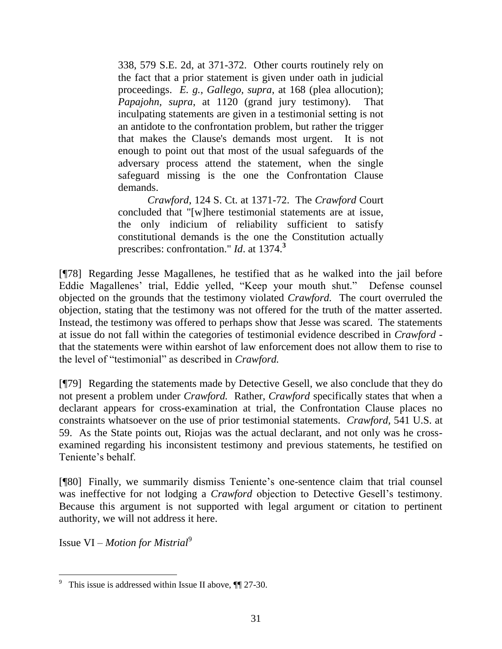338, 579 S.E. 2d, at 371-372. Other courts routinely rely on the fact that a prior statement is given under oath in judicial proceedings. *E. g., [Gallego, supra](http://www.lexis.com/research/buttonTFLink?_m=95675e4f6f374bd7567acd630290826c&_xfercite=%3ccite%20cc%3d%22USA%22%3e%3c%21%5bCDATA%5b2004%20WY%20110%5d%5d%3e%3c%2fcite%3e&_butType=3&_butStat=2&_butNum=97&_butInline=1&_butinfo=%3ccite%20cc%3d%22USA%22%3e%3c%21%5bCDATA%5b191%20F.3d%20156%2c%20168%5d%5d%3e%3c%2fcite%3e&_fmtstr=FULL&docnum=2&_startdoc=1&wchp=dGLbVlb-zSkAz&_md5=1f0c62208a1de083a2a4c3fc30c2b11b)*, at 168 (plea allocution); *[Papajohn, supra](http://www.lexis.com/research/buttonTFLink?_m=95675e4f6f374bd7567acd630290826c&_xfercite=%3ccite%20cc%3d%22USA%22%3e%3c%21%5bCDATA%5b2004%20WY%20110%5d%5d%3e%3c%2fcite%3e&_butType=3&_butStat=2&_butNum=98&_butInline=1&_butinfo=%3ccite%20cc%3d%22USA%22%3e%3c%21%5bCDATA%5b212%20F.3d%201112%2c%201120%5d%5d%3e%3c%2fcite%3e&_fmtstr=FULL&docnum=2&_startdoc=1&wchp=dGLbVlb-zSkAz&_md5=7b8b8934338b33dc2c747dcaf4a8fe7a)*, at 1120 (grand jury testimony). That inculpating statements are given in a testimonial setting is not an antidote to the confrontation problem, but rather the trigger that makes the Clause's demands most urgent. It is not enough to point out that most of the usual safeguards of the adversary process attend the statement, when the single safeguard missing is the one the Confrontation Clause demands.

*Crawford*[, 124 S. Ct. at 1371-72.](http://www.lexis.com/research/buttonTFLink?_m=95675e4f6f374bd7567acd630290826c&_xfercite=%3ccite%20cc%3d%22USA%22%3e%3c%21%5bCDATA%5b2004%20WY%20110%5d%5d%3e%3c%2fcite%3e&_butType=3&_butStat=2&_butNum=100&_butInline=1&_butinfo=%3ccite%20cc%3d%22USA%22%3e%3c%21%5bCDATA%5b124%20S.%20Ct.%201354%2c%201371%5d%5d%3e%3c%2fcite%3e&_fmtstr=FULL&docnum=2&_startdoc=1&wchp=dGLbVlb-zSkAz&_md5=4a7d3d0da2799cb7ac2270b2d4a9cb5c) The *Crawford* Court concluded that "[w]here testimonial statements are at issue, the only indicium of reliability sufficient to satisfy constitutional demands is the one the Constitution actually prescribes: confrontation." *Id*[. at 1374.](http://www.lexis.com/research/buttonTFLink?_m=95675e4f6f374bd7567acd630290826c&_xfercite=%3ccite%20cc%3d%22USA%22%3e%3c%21%5bCDATA%5b2004%20WY%20110%5d%5d%3e%3c%2fcite%3e&_butType=3&_butStat=2&_butNum=102&_butInline=1&_butinfo=%3ccite%20cc%3d%22USA%22%3e%3c%21%5bCDATA%5b124%20S.%20Ct.%201354%2c%201374%5d%5d%3e%3c%2fcite%3e&_fmtstr=FULL&docnum=2&_startdoc=1&wchp=dGLbVlb-zSkAz&_md5=1e11e00bcef940b46caf696dbf6e3f09) **3**

[¶78] Regarding Jesse Magallenes, he testified that as he walked into the jail before Eddie Magallenes" trial, Eddie yelled, "Keep your mouth shut." Defense counsel objected on the grounds that the testimony violated *Crawford.* The court overruled the objection, stating that the testimony was not offered for the truth of the matter asserted. Instead, the testimony was offered to perhaps show that Jesse was scared. The statements at issue do not fall within the categories of testimonial evidence described in *Crawford*  that the statements were within earshot of law enforcement does not allow them to rise to the level of "testimonial" as described in *Crawford.*

[¶79] Regarding the statements made by Detective Gesell, we also conclude that they do not present a problem under *Crawford.* Rather, *Crawford* specifically states that when a declarant appears for cross-examination at trial, the Confrontation Clause places no constraints whatsoever on the use of prior testimonial statements. *Crawford,* 541 U.S. at 59. As the State points out, Riojas was the actual declarant, and not only was he crossexamined regarding his inconsistent testimony and previous statements, he testified on Teniente's behalf.

[¶80] Finally, we summarily dismiss Teniente's one-sentence claim that trial counsel was ineffective for not lodging a *Crawford* objection to Detective Gesell's testimony. Because this argument is not supported with legal argument or citation to pertinent authority, we will not address it here.

Issue VI *– Motion for Mistrial*<sup>9</sup>

 9 This issue is addressed within Issue II above, ¶¶ 27-30.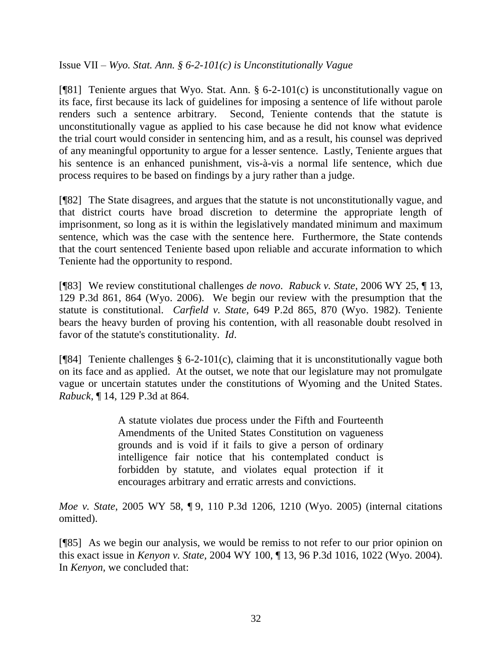Issue VII *– Wyo. Stat. Ann. § 6-2-101(c) is Unconstitutionally Vague*

[¶81] Teniente argues that Wyo. Stat. Ann. § 6-2-101(c) is unconstitutionally vague on its face, first because its lack of guidelines for imposing a sentence of life without parole renders such a sentence arbitrary. Second, Teniente contends that the statute is unconstitutionally vague as applied to his case because he did not know what evidence the trial court would consider in sentencing him, and as a result, his counsel was deprived of any meaningful opportunity to argue for a lesser sentence. Lastly, Teniente argues that his sentence is an enhanced punishment, vis-à-vis a normal life sentence, which due process requires to be based on findings by a jury rather than a judge.

[¶82] The State disagrees, and argues that the statute is not unconstitutionally vague, and that district courts have broad discretion to determine the appropriate length of imprisonment, so long as it is within the legislatively mandated minimum and maximum sentence, which was the case with the sentence here. Furthermore, the State contends that the court sentenced Teniente based upon reliable and accurate information to which Teniente had the opportunity to respond.

[¶83] We review constitutional challenges *de novo*. *Rabuck v. State*, 2006 WY 25, ¶ 13, 129 P.3d 861, 864 (Wyo. 2006). We begin our review with the presumption that the statute is constitutional. *Carfield v. State,* 649 P.2d 865, 870 (Wyo. 1982). Teniente bears the heavy burden of proving his contention, with all reasonable doubt resolved in favor of the statute's constitutionality. *Id*.

[ $[$ [84] Teniente challenges § 6-2-101(c), claiming that it is unconstitutionally vague both on its face and as applied. At the outset, we note that our legislature may not promulgate vague or uncertain statutes under the constitutions of Wyoming and the United States. *Rabuck*, ¶ 14, 129 P.3d at 864.

> A statute violates due process under the Fifth and Fourteenth Amendments of the United States Constitution on vagueness grounds and is void if it fails to give a person of ordinary intelligence fair notice that his contemplated conduct is forbidden by statute, and violates equal protection if it encourages arbitrary and erratic arrests and convictions.

*Moe v. State*, 2005 WY 58, ¶ 9, 110 P.3d 1206, 1210 (Wyo. 2005) (internal citations omitted).

[¶85] As we begin our analysis, we would be remiss to not refer to our prior opinion on this exact issue in *Kenyon v. State,* 2004 WY 100, ¶ 13, 96 P.3d 1016, 1022 (Wyo. 2004). In *Kenyon,* we concluded that: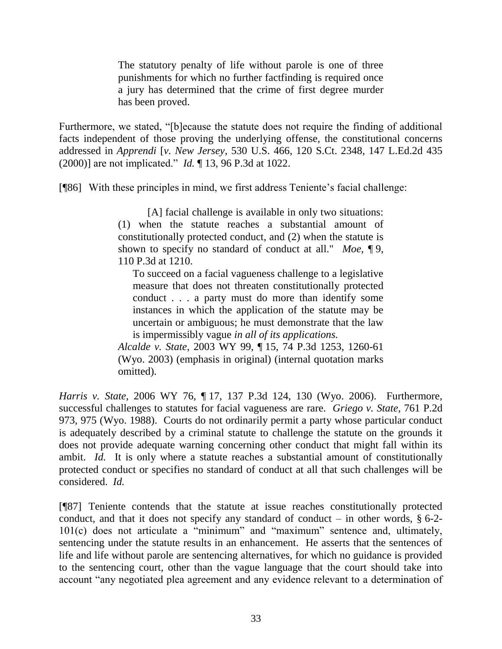The statutory penalty of life without parole is one of three punishments for which no further factfinding is required once a jury has determined that the crime of first degree murder has been proved.

Furthermore, we stated, "[b]ecause the statute does not require the finding of additional facts independent of those proving the underlying offense, the constitutional concerns addressed in *Apprendi* [*v. New Jersey*, 530 U.S. 466, 120 S.Ct. 2348, 147 L.Ed.2d 435 (2000)] are not implicated." *Id.* ¶ 13, 96 P.3d at 1022.

[¶86] With these principles in mind, we first address Teniente's facial challenge:

[A] facial challenge is available in only two situations: (1) when the statute reaches a substantial amount of constitutionally protected conduct, and (2) when the statute is shown to specify no standard of conduct at all." *Moe*, ¶ 9, 110 P.3d at 1210.

To succeed on a facial vagueness challenge to a legislative measure that does not threaten constitutionally protected conduct . . . a party must do more than identify some instances in which the application of the statute may be uncertain or ambiguous; he must demonstrate that the law is impermissibly vague *in all of its applications.* 

*Alcalde v. State*, 2003 WY 99, ¶ [15, 74 P.3d 1253, 1260-61](http://www.lexis.com/research/buttonTFLink?_m=cb36043fcd369135c60161ab46ade15b&_xfercite=%3ccite%20cc%3d%22USA%22%3e%3c%21%5bCDATA%5b2006%20WY%2076%5d%5d%3e%3c%2fcite%3e&_butType=3&_butStat=2&_butNum=71&_butInline=1&_butinfo=%3ccite%20cc%3d%22USA%22%3e%3c%21%5bCDATA%5b2003%20WY%2099%5d%5d%3e%3c%2fcite%3e&_fmtstr=FULL&docnum=3&_startdoc=1&wchp=dGLbVzb-zSkAt&_md5=c8de0166fe582bc42250e129d12e088d)  [\(Wyo. 2003\)](http://www.lexis.com/research/buttonTFLink?_m=cb36043fcd369135c60161ab46ade15b&_xfercite=%3ccite%20cc%3d%22USA%22%3e%3c%21%5bCDATA%5b2006%20WY%2076%5d%5d%3e%3c%2fcite%3e&_butType=3&_butStat=2&_butNum=71&_butInline=1&_butinfo=%3ccite%20cc%3d%22USA%22%3e%3c%21%5bCDATA%5b2003%20WY%2099%5d%5d%3e%3c%2fcite%3e&_fmtstr=FULL&docnum=3&_startdoc=1&wchp=dGLbVzb-zSkAt&_md5=c8de0166fe582bc42250e129d12e088d) (emphasis in original) (internal quotation marks omitted).

*Harris v. State*, 2006 WY 76, ¶ 17, 137 P.3d 124, 130 (Wyo. 2006). Furthermore, successful challenges to statutes for facial vagueness are rare. *Griego v. State,* 761 P.2d 973, 975 (Wyo. 1988). Courts do not ordinarily permit a party whose particular conduct is adequately described by a criminal statute to challenge the statute on the grounds it does not provide adequate warning concerning other conduct that might fall within its ambit. *Id.* It is only where a statute reaches a substantial amount of constitutionally protected conduct or specifies no standard of conduct at all that such challenges will be considered. *Id.*

[¶87] Teniente contends that the statute at issue reaches constitutionally protected conduct, and that it does not specify any standard of conduct – in other words,  $\S 6-2$ -101(c) does not articulate a "minimum" and "maximum" sentence and, ultimately, sentencing under the statute results in an enhancement. He asserts that the sentences of life and life without parole are sentencing alternatives, for which no guidance is provided to the sentencing court, other than the vague language that the court should take into account "any negotiated plea agreement and any evidence relevant to a determination of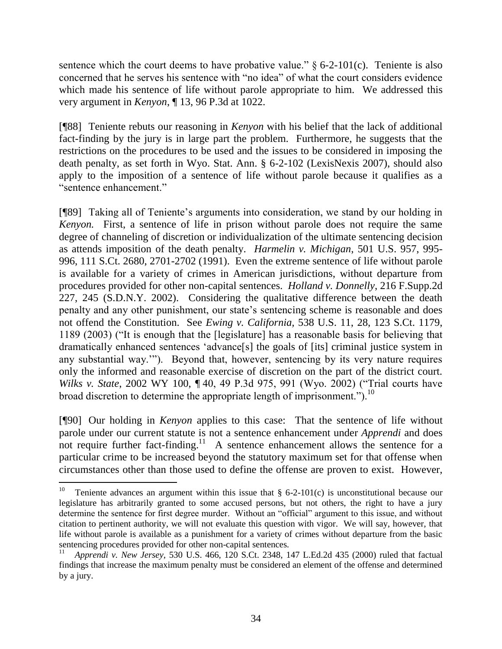sentence which the court deems to have probative value."  $\S$  6-2-101(c). Teniente is also concerned that he serves his sentence with "no idea" of what the court considers evidence which made his sentence of life without parole appropriate to him. We addressed this very argument in *Kenyon*, ¶ 13, 96 P.3d at 1022.

[¶88] Teniente rebuts our reasoning in *Kenyon* with his belief that the lack of additional fact-finding by the jury is in large part the problem. Furthermore, he suggests that the restrictions on the procedures to be used and the issues to be considered in imposing the death penalty, as set forth in Wyo. Stat. Ann. § 6-2-102 (LexisNexis 2007), should also apply to the imposition of a sentence of life without parole because it qualifies as a "sentence enhancement."

[¶89] Taking all of Teniente's arguments into consideration, we stand by our holding in *Kenyon.* First, a sentence of life in prison without parole does not require the same degree of channeling of discretion or individualization of the ultimate sentencing decision as attends imposition of the death penalty. *Harmelin v. Michigan*, 501 U.S. 957, 995- 996, 111 S.Ct. 2680, 2701-2702 (1991). Even the extreme sentence of life without parole is available for a variety of crimes in American jurisdictions, without departure from procedures provided for other non-capital sentences. *Holland v. Donnelly*, 216 F.Supp.2d 227, 245 (S.D.N.Y. 2002). Considering the qualitative difference between the death penalty and any other punishment, our state"s sentencing scheme is reasonable and does not offend the Constitution. See *Ewing v. California,* 538 U.S. 11, 28, 123 S.Ct. 1179, 1189 (2003) ("It is enough that the [legislature] has a reasonable basis for believing that dramatically enhanced sentences "advance[s] the goals of [its] criminal justice system in any substantial way.""). Beyond that, however, sentencing by its very nature requires only the informed and reasonable exercise of discretion on the part of the district court. *Wilks v. State*, 2002 WY 100, ¶ 40, 49 P.3d 975, 991 (Wyo. 2002) ("Trial courts have broad discretion to determine the appropriate length of imprisonment.").<sup>10</sup>

[¶90] Our holding in *Kenyon* applies to this case: That the sentence of life without parole under our current statute is not a sentence enhancement under *Apprendi* and does not require further fact-finding.<sup>11</sup> A sentence enhancement allows the sentence for a particular crime to be increased beyond the statutory maximum set for that offense when circumstances other than those used to define the offense are proven to exist. However,

 10 Teniente advances an argument within this issue that § 6-2-101(c) is unconstitutional because our legislature has arbitrarily granted to some accused persons, but not others, the right to have a jury determine the sentence for first degree murder. Without an "official" argument to this issue, and without citation to pertinent authority, we will not evaluate this question with vigor. We will say, however, that life without parole is available as a punishment for a variety of crimes without departure from the basic sentencing procedures provided for other non-capital sentences.

<sup>11</sup>  *Apprendi v. New Jersey*, 530 U.S. 466, 120 S.Ct. 2348, 147 L.Ed.2d 435 (2000) ruled that factual findings that increase the maximum penalty must be considered an element of the offense and determined by a jury.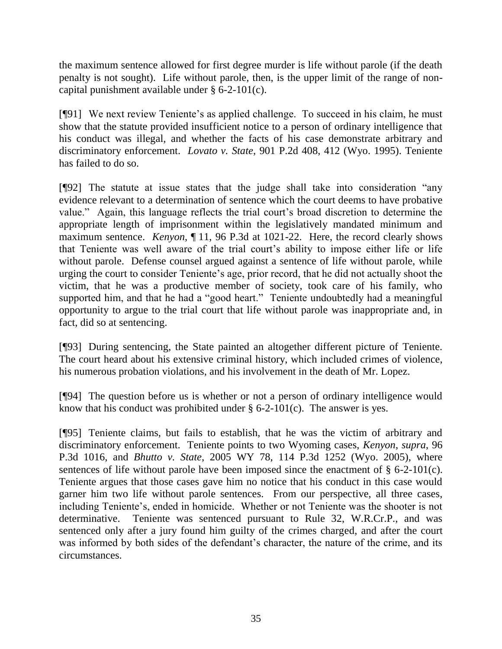the maximum sentence allowed for first degree murder is life without parole (if the death penalty is not sought). Life without parole, then, is the upper limit of the range of noncapital punishment available under § 6-2-101(c).

[¶91] We next review Teniente"s as applied challenge. To succeed in his claim, he must show that the statute provided insufficient notice to a person of ordinary intelligence that his conduct was illegal, and whether the facts of his case demonstrate arbitrary and discriminatory enforcement. *Lovato v. State*, 901 P.2d 408, 412 (Wyo. 1995). Teniente has failed to do so.

[¶92] The statute at issue states that the judge shall take into consideration "any evidence relevant to a determination of sentence which the court deems to have probative value." Again, this language reflects the trial court"s broad discretion to determine the appropriate length of imprisonment within the legislatively mandated minimum and maximum sentence. *Kenyon*, ¶ 11, 96 P.3d at 1021-22. Here, the record clearly shows that Teniente was well aware of the trial court"s ability to impose either life or life without parole. Defense counsel argued against a sentence of life without parole, while urging the court to consider Teniente"s age, prior record, that he did not actually shoot the victim, that he was a productive member of society, took care of his family, who supported him, and that he had a "good heart." Teniente undoubtedly had a meaningful opportunity to argue to the trial court that life without parole was inappropriate and, in fact, did so at sentencing.

[¶93] During sentencing, the State painted an altogether different picture of Teniente. The court heard about his extensive criminal history, which included crimes of violence, his numerous probation violations, and his involvement in the death of Mr. Lopez.

[¶94] The question before us is whether or not a person of ordinary intelligence would know that his conduct was prohibited under  $\S 6$ -2-101(c). The answer is yes.

[¶95] Teniente claims, but fails to establish, that he was the victim of arbitrary and discriminatory enforcement. Teniente points to two Wyoming cases, *Kenyon*, *supra*, 96 P.3d 1016, and *Bhutto v. State*, 2005 WY 78, 114 P.3d 1252 (Wyo. 2005), where sentences of life without parole have been imposed since the enactment of  $\S 6$ -2-101(c). Teniente argues that those cases gave him no notice that his conduct in this case would garner him two life without parole sentences. From our perspective, all three cases, including Teniente's, ended in homicide. Whether or not Teniente was the shooter is not determinative. Teniente was sentenced pursuant to Rule 32, W.R.Cr.P., and was sentenced only after a jury found him guilty of the crimes charged, and after the court was informed by both sides of the defendant's character, the nature of the crime, and its circumstances.